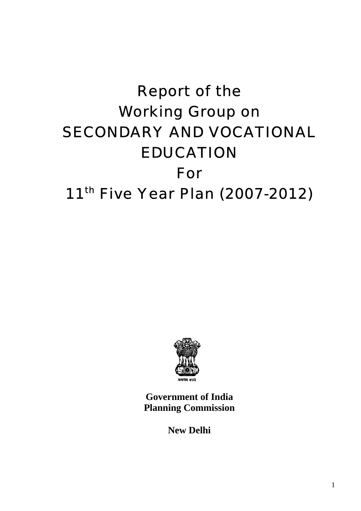# Report of the Working Group on SECONDARY AND VOCATIONAL EDUCATION For<br>11<sup>th</sup> Five Year Plan (2007-2012)



**Government of India Planning Commission** 

**New Delhi**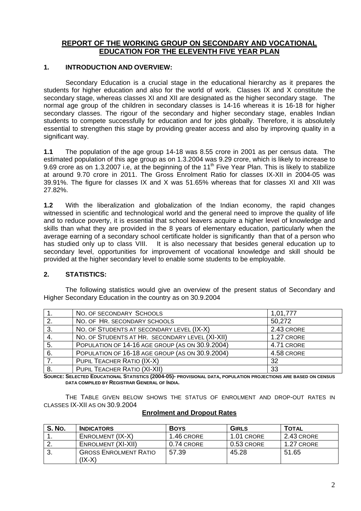# **REPORT OF THE WORKING GROUP ON SECONDARY AND VOCATIONAL EDUCATION FOR THE ELEVENTH FIVE YEAR PLAN**

## **1. INTRODUCTION AND OVERVIEW:**

Secondary Education is a crucial stage in the educational hierarchy as it prepares the students for higher education and also for the world of work. Classes IX and X constitute the secondary stage, whereas classes XI and XII are designated as the higher secondary stage. The normal age group of the children in secondary classes is 14-16 whereas it is 16-18 for higher secondary classes. The rigour of the secondary and higher secondary stage, enables Indian students to compete successfully for education and for jobs globally. Therefore, it is absolutely essential to strengthen this stage by providing greater access and also by improving quality in a significant way.

**1.1** The population of the age group 14-18 was 8.55 crore in 2001 as per census data. The estimated population of this age group as on 1.3.2004 was 9.29 crore, which is likely to increase to 9.69 crore as on 1.3.2007 i.e, at the beginning of the 11<sup>th</sup> Five Year Plan. This is likely to stabilize at around 9.70 crore in 2011. The Gross Enrolment Ratio for classes IX-XII in 2004-05 was 39.91%. The figure for classes IX and X was 51.65% whereas that for classes XI and XII was 27.82%.

**1.2** With the liberalization and globalization of the Indian economy, the rapid changes witnessed in scientific and technological world and the general need to improve the quality of life and to reduce poverty, it is essential that school leavers acquire a higher level of knowledge and skills than what they are provided in the 8 years of elementary education, particularly when the average earning of a secondary school certificate holder is significantly than that of a person who has studied only up to class VIII. It is also necessary that besides general education up to secondary level, opportunities for improvement of vocational knowledge and skill should be provided at the higher secondary level to enable some students to be employable.

# **2. STATISTICS:**

The following statistics would give an overview of the present status of Secondary and Higher Secondary Education in the country as on 30.9.2004

|    | NO. OF SECONDARY SCHOOLS                        | 1,01,777   |
|----|-------------------------------------------------|------------|
| 2. | NO. OF HR. SECONDARY SCHOOLS                    | 50,272     |
| 3. | NO. OF STUDENTS AT SECONDARY LEVEL (IX-X)       | 2.43 CRORE |
| 4. | NO. OF STUDENTS AT HR. SECONDARY LEVEL (XI-XII) | 1.27 CRORE |
| 5. | POPULATION OF 14-16 AGE GROUP (AS ON 30.9.2004) | 4.71 CRORE |
| 6. | POPULATION OF 16-18 AGE GROUP (AS ON 30.9.2004) | 4.58 CRORE |
|    | PUPIL TEACHER RATIO (IX-X)                      | 32         |
| 8. | PUPIL TEACHER RATIO (XI-XII)                    | 33         |

**SOURCE: SELECTED EDUCATIONAL STATISTICS (2004-05)- PROVISIONAL DATA, POPULATION PROJECTIONS ARE BASED ON CENSUS DATA COMPILED BY REGISTRAR GENERAL OF INDIA.** 

THE TABLE GIVEN BELOW SHOWS THE STATUS OF ENROLMENT AND DROP-OUT RATES IN CLASSES IX-XII AS ON 30.9.2004

| <b>S. No.</b> | <b>INDICATORS</b>                        | <b>BOYS</b> | <b>GIRLS</b> | <b>TOTAL</b> |
|---------------|------------------------------------------|-------------|--------------|--------------|
|               | ENROLMENT (IX-X)                         | 1.46 CRORE  | 1.01 CRORE   | 2.43 CRORE   |
|               | ENROLMENT (XI-XII)                       | 0.74 CRORE  | 0.53 CRORE   | 1.27 CRORE   |
| .ن            | <b>GROSS ENROLMENT RATIO</b><br>$(IX-X)$ | 57.39       | 45.28        | 51.65        |

#### **Enrolment and Dropout Rates**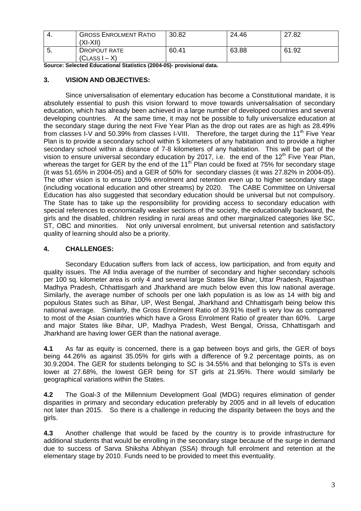| -4. | <b>GROSS ENROLMENT RATIO</b><br>'XI-XII) | 30.82 | 24.46 | 27.82 |
|-----|------------------------------------------|-------|-------|-------|
| -5. | DROPOUT RATE<br>$(CLASS I - X)$          | 60.41 | 63.88 | 61.92 |

**Source: Selected Educational Statistics (2004-05)- provisional data.** 

#### **3. VISION AND OBJECTIVES:**

 Since universalisation of elementary education has become a Constitutional mandate, it is absolutely essential to push this vision forward to move towards universalisation of secondary education, which has already been achieved in a large number of developed countries and several developing countries. At the same time, it may not be possible to fully universalize education at the secondary stage during the next Five Year Plan as the drop out rates are as high as 28.49% from classes I-V and 50.39% from classes I-VIII. Therefore, the target during the 11<sup>th</sup> Five Year Plan is to provide a secondary school within 5 kilometers of any habitation and to provide a higher secondary school within a distance of 7-8 kilometers of any habitation. This will be part of the vision to ensure universal secondary education by 2017, i.e. the end of the 12<sup>th</sup> Five Year Plan, whereas the target for GER by the end of the  $11<sup>th</sup>$  Plan could be fixed at 75% for secondary stage (it was 51.65% in 2004-05) and a GER of 50% for secondary classes (it was 27.82% in 2004-05). The other vision is to ensure 100% enrolment and retention even up to higher secondary stage (including vocational education and other streams) by 2020. The CABE Committee on Universal Education has also suggested that secondary education should be universal but not compulsory. The State has to take up the responsibility for providing access to secondary education with special references to economically weaker sections of the society, the educationally backward, the girls and the disabled, children residing in rural areas and other marginalized categories like SC, ST, OBC and minorities. Not only universal enrolment, but universal retention and satisfactory quality of learning should also be a priority.

# **4. CHALLENGES:**

Secondary Education suffers from lack of access, low participation, and from equity and quality issues. The All India average of the number of secondary and higher secondary schools per 100 sq. kilometer area is only 4 and several large States like Bihar, Uttar Pradesh, Rajasthan Madhya Pradesh, Chhattisgarh and Jharkhand are much below even this low national average. Similarly, the average number of schools per one lakh population is as low as 14 with big and populous States such as Bihar, UP, West Bengal, Jharkhand and Chhattisgarh being below this national average. Similarly, the Gross Enrolment Ratio of 39.91% itself is very low as compared to most of the Asian countries which have a Gross Enrolment Ratio of greater than 60%. Large and major States like Bihar, UP, Madhya Pradesh, West Bengal, Orissa, Chhattisgarh and Jharkhand are having lower GER than the national average.

**4.1** As far as equity is concerned, there is a gap between boys and girls, the GER of boys being 44.26% as against 35.05% for girls with a difference of 9.2 percentage points, as on 30.9.2004. The GER for students belonging to SC is 34.55% and that belonging to STs is even lower at 27.68%, the lowest GER being for ST girls at 21.95%. There would similarly be geographical variations within the States.

**4.2** The Goal-3 of the Millennium Development Goal (MDG) requires elimination of gender disparities in primary and secondary education preferably by 2005 and in all levels of education not later than 2015. So there is a challenge in reducing the disparity between the boys and the girls.

**4.3** Another challenge that would be faced by the country is to provide infrastructure for additional students that would be enrolling in the secondary stage because of the surge in demand due to success of Sarva Shiksha Abhiyan (SSA) through full enrolment and retention at the elementary stage by 2010. Funds need to be provided to meet this eventuality.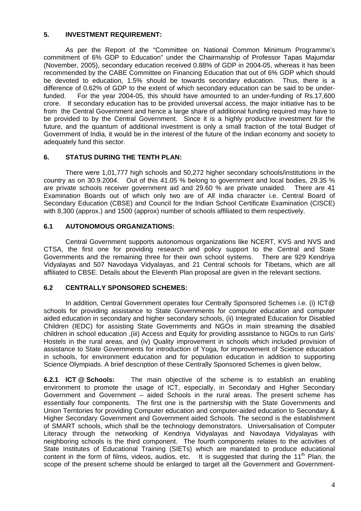# **5. INVESTMENT REQUIREMENT:**

 As per the Report of the "Committee on National Common Minimum Programme's commitment of 6% GDP to Education" under the Chairmanship of Professor Tapas Majumdar (November, 2005), secondary education received 0.88% of GDP in 2004-05, whereas it has been recommended by the CABE Committee on Financing Education that out of 6% GDP which should be devoted to education, 1.5% should be towards secondary education. Thus, there is a difference of 0.62% of GDP to the extent of which secondary education can be said to be underfunded. For the year 2004-05, this should have amounted to an under-funding of Rs.17,600 crore. If secondary education has to be provided universal access, the major initiative has to be from the Central Government and hence a large share of additional funding required may have to be provided to by the Central Government. Since it is a highly productive investment for the future, and the quantum of additional investment is only a small fraction of the total Budget of Government of India, it would be in the interest of the future of the Indian economy and society to adequately fund this sector.

# **6. STATUS DURING THE TENTH PLAN:**

There were 1,01,777 high schools and 50,272 higher secondary schools/institutions in the country as on 30.9.2004. Out of this 41.05 % belong to government and local bodies, 29.35 % are private schools receiver government aid and 29.60 % are private unaided. There are 41 Examination Boards out of which only two are of All India character i.e. Central Board of Secondary Education (CBSE) and Council for the Indian School Certificate Examination (CISCE) with 8,300 (approx.) and 1500 (approx) number of schools affiliated to them respectively.

# **6.1 AUTONOMOUS ORGANIZATIONS:**

Central Government supports autonomous organizations like NCERT, KVS and NVS and CTSA, the first one for providing research and policy support to the Central and State Governments and the remaining three for their own school systems. There are 929 Kendriya Vidyalayas and 507 Navodaya Vidyalayas, and 21 Central schools for Tibetans, which are all affiliated to CBSE. Details about the Eleventh Plan proposal are given in the relevant sections.

#### **6.2 CENTRALLY SPONSORED SCHEMES:**

In addition, Central Government operates four Centrally Sponsored Schemes i.e. (i) ICT@ schools for providing assistance to State Governments for computer education and computer aided education in secondary and higher secondary schools, (ii) Integrated Education for Disabled Children (IEDC) for assisting State Governments and NGOs in main streaming the disabled children in school education ,(iii) Access and Equity for providing assistance to NGOs to run Girls' Hostels in the rural areas, and (iv) Quality improvement in schools which included provision of assistance to State Governments for introduction of Yoga, for improvement of Science education in schools, for environment education and for population education in addition to supporting Science Olympiads. A brief description of these Centrally Sponsored Schemes is given below,

**6.2.1 ICT @ Schools:** The main objective of the scheme is to establish an enabling environment to promote the usage of ICT, especially, in Secondary and Higher Secondary Government and Government – aided Schools in the rural areas. The present scheme has essentially four components. The first one is the partnership with the State Governments and Union Territories for providing Computer education and computer-aided education to Secondary & Higher Secondary Government and Government aided Schools. The second is the establishment of SMART schools, which shall be the technology demonstrators. Universalisation of Computer Literacy through the networking of Kendriya Vidyalayas and Navodaya Vidyalayas with neighboring schools is the third component. The fourth components relates to the activities of State Institutes of Educational Training (SIETs) which are mandated to produce educational content in the form of films, videos, audios, etc. It is suggested that during the  $11<sup>th</sup>$  Plan, the scope of the present scheme should be enlarged to target all the Government and Government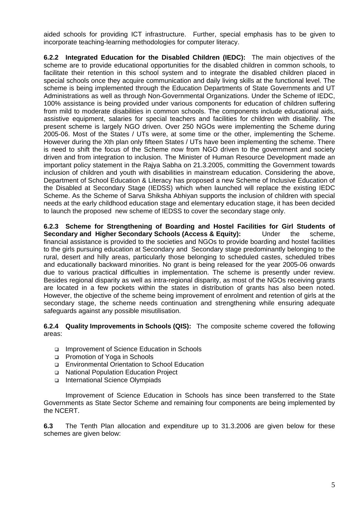aided schools for providing ICT infrastructure. Further, special emphasis has to be given to incorporate teaching-learning methodologies for computer literacy.

**6.2.2 Integrated Education for the Disabled Children (IEDC):** The main objectives of the scheme are to provide educational opportunities for the disabled children in common schools, to facilitate their retention in this school system and to integrate the disabled children placed in special schools once they acquire communication and daily living skills at the functional level. The scheme is being implemented through the Education Departments of State Governments and UT Administrations as well as through Non-Governmental Organizations. Under the Scheme of IEDC, 100% assistance is being provided under various components for education of children suffering from mild to moderate disabilities in common schools. The components include educational aids, assistive equipment, salaries for special teachers and facilities for children with disability. The present scheme is largely NGO driven. Over 250 NGOs were implementing the Scheme during 2005-06. Most of the States / UTs were, at some time or the other, implementing the Scheme. However during the Xth plan only fifteen States / UTs have been implementing the scheme. There is need to shift the focus of the Scheme now from NGO driven to the government and society driven and from integration to inclusion. The Minister of Human Resource Development made an important policy statement in the Rajya Sabha on 21.3.2005, committing the Government towards inclusion of children and youth with disabilities in mainstream education. Considering the above, Department of School Education & Literacy has proposed a new Scheme of Inclusive Education of the Disabled at Secondary Stage (IEDSS) which when launched will replace the existing IEDC Scheme. As the Scheme of Sarva Shiksha Abhiyan supports the inclusion of children with special needs at the early childhood education stage and elementary education stage, it has been decided to launch the proposed new scheme of IEDSS to cover the secondary stage only.

**6.2.3 Scheme for Strengthening of Boarding and Hostel Facilities for Girl Students of Secondary and Higher Secondary Schools (Access & Equity):** Under the scheme, financial assistance is provided to the societies and NGOs to provide boarding and hostel facilities to the girls pursuing education at Secondary and Secondary stage predominantly belonging to the rural, desert and hilly areas, particularly those belonging to scheduled castes, scheduled tribes and educationally backward minorities. No grant is being released for the year 2005-06 onwards due to various practical difficulties in implementation. The scheme is presently under review. Besides regional disparity as well as intra-regional disparity, as most of the NGOs receiving grants are located in a few pockets within the states in distribution of grants has also been noted. However, the objective of the scheme being improvement of enrolment and retention of girls at the secondary stage, the scheme needs continuation and strengthening while ensuring adequate safeguards against any possible misutilisation.

**6.2.4 Quality Improvements in Schools (QIS):** The composite scheme covered the following areas:

- □ Improvement of Science Education in Schools
- **Promotion of Yoga in Schools**
- Environmental Orientation to School Education
- National Population Education Project
- International Science Olympiads

 Improvement of Science Education in Schools has since been transferred to the State Governments as State Sector Scheme and remaining four components are being implemented by the NCERT.

**6.3** The Tenth Plan allocation and expenditure up to 31.3.2006 are given below for these schemes are given below: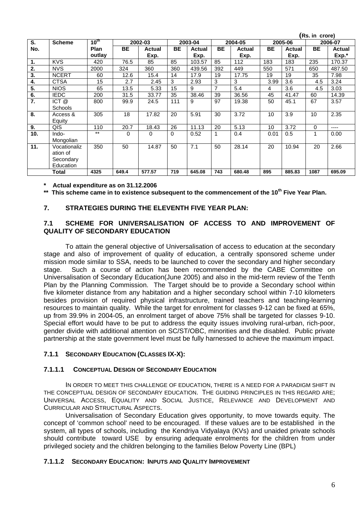|     |                |           |           |               |           |         |                |               | (Rs. in crore) |         |              |         |
|-----|----------------|-----------|-----------|---------------|-----------|---------|----------------|---------------|----------------|---------|--------------|---------|
| S.  | <b>Scheme</b>  | $10^{th}$ |           | 2002-03       |           | 2003-04 |                | 2004-05       |                | 2005-06 |              | 2006-07 |
| No. |                | Plan      | <b>BE</b> | <b>Actual</b> | <b>BE</b> | Actual  | <b>BE</b>      | <b>Actual</b> | <b>BE</b>      | Actual  | <b>BE</b>    | Actual  |
|     |                | outlay    |           | Exp.          |           | Exp.    |                | Exp.          |                | Exp.    |              | Exp.*   |
| 1.  | <b>KVS</b>     | 420       | 76.5      | 85            | 85        | 103.57  | 85             | 112           | 183            | 183     | 235          | 170.37  |
| 2.  | <b>NVS</b>     | 2000      | 324       | 360           | 360       | 439.56  | 392            | 449           | 550            | 571     | 650          | 487.50  |
| 3.  | <b>NCERT</b>   | 60        | 12.6      | 15.4          | 14        | 17.9    | 19             | 17.75         | 19             | 19      | 35           | 7.98    |
| 4.  | <b>CTSA</b>    | 15        | 2.7       | 2.45          | 3         | 2.93    | 3              | 3             | 3.99           | 3.6     | 4.5          | 3.24    |
| 5.  | <b>NIOS</b>    | 65        | 13.5      | 5.33          | 15        | 9       | $\overline{7}$ | 5.4           | 4              | 3.6     | 4.5          | 3.03    |
| 6.  | <b>IEDC</b>    | 200       | 31.5      | 33.77         | 35        | 38.46   | 39             | 36.56         | 45             | 41.47   | 60           | 14.39   |
| 7.  | ICT@           | 800       | 99.9      | 24.5          | 111       | 9       | 97             | 19.38         | 50             | 45.1    | 67           | 3.57    |
|     | <b>Schools</b> |           |           |               |           |         |                |               |                |         |              |         |
| 8.  | Access &       | 305       | 18        | 17.82         | 20        | 5.91    | 30             | 3.72          | 10             | 3.9     | 10           | 2.35    |
|     | Equity         |           |           |               |           |         |                |               |                |         |              |         |
| 9.  | QIS            | 110       | 20.7      | 18.43         | 26        | 11.13   | 20             | 5.13          | 10             | 3.72    | $\mathbf{0}$ | ----    |
| 10. | Indo-          | $***$     | 0         | 0             | 0         | 0.52    | 1              | 0.4           | 0.01           | 0.5     | 1            | 0.00    |
|     | Mongolian      |           |           |               |           |         |                |               |                |         |              |         |
| 11. | Vocationaliz   | 350       | 50        | 14.87         | 50        | 7.1     | 50             | 28.14         | 20             | 10.94   | 20           | 2.66    |
|     | ation of       |           |           |               |           |         |                |               |                |         |              |         |
|     | Secondary      |           |           |               |           |         |                |               |                |         |              |         |
|     | Education      |           |           |               |           |         |                |               |                |         |              |         |
|     | Total          | 4325      | 649.4     | 577.57        | 719       | 645.08  | 743            | 680.48        | 895            | 885.83  | 1087         | 695.09  |

**\* Actual expenditure as on 31.12.2006** 

**\*\* This scheme came in to existence subsequent to the commencement of the 10th Five Year Plan.**

#### **7. STRATEGIES DURING THE ELEVENTH FIVE YEAR PLAN:**

#### **7.1 SCHEME FOR UNIVERSALISATION OF ACCESS TO AND IMPROVEMENT OF QUALITY OF SECONDARY EDUCATION**

 To attain the general objective of Universalisation of access to education at the secondary stage and also of improvement of quality of education, a centrally sponsored scheme under mission mode similar to SSA, needs to be launched to cover the secondary and higher secondary stage. Such a course of action has been recommended by the CABE Committee on Universalisation of Secondary Education(June 2005) and also in the mid-term review of the Tenth Plan by the Planning Commission. The Target should be to provide a Secondary school within five kilometer distance from any habitation and a higher secondary school within 7-10 kilometers besides provision of required physical infrastructure, trained teachers and teaching-learning resources to maintain quality. While the target for enrolment for classes 9-12 can be fixed at 65%, up from 39.9% in 2004-05, an enrolment target of above 75% shall be targeted for classes 9-10. Special effort would have to be put to address the equity issues involving rural-urban, rich-poor, gender divide with additional attention on SC/ST/OBC, minorities and the disabled. Public private partnership at the state government level must be fully harnessed to achieve the maximum impact.

#### **7.1.1 SECONDARY EDUCATION (CLASSES IX-X):**

#### **7.1.1.1 CONCEPTUAL DESIGN OF SECONDARY EDUCATION**

IN ORDER TO MEET THIS CHALLENGE OF EDUCATION, THERE IS A NEED FOR A PARADIGM SHIFT IN THE CONCEPTUAL DESIGN OF SECONDARY EDUCATION. THE GUIDING PRINCIPLES IN THIS REGARD ARE; UNIVERSAL ACCESS, EQUALITY AND SOCIAL JUSTICE, RELEVANCE AND DEVELOPMENT AND CURRICULAR AND STRUCTURAL ASPECTS.

Universalisation of Secondary Education gives opportunity, to move towards equity. The concept of 'common school' need to be encouraged. If these values are to be established in the system, all types of schools, including the Kendriya Vidyalaya (KVs) and unaided private schools should contribute toward USE by ensuring adequate enrolments for the children from under privileged society and the children belonging to the families Below Poverty Line (BPL)

#### **7.1.1.2 SECONDARY EDUCATION: INPUTS AND QUALITY IMPROVEMENT**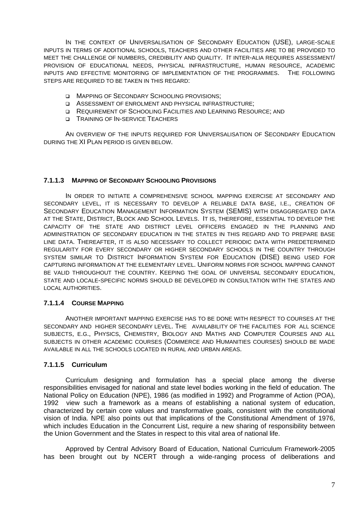IN THE CONTEXT OF UNIVERSALISATION OF SECONDARY EDUCATION (USE), LARGE-SCALE INPUTS IN TERMS OF ADDITIONAL SCHOOLS, TEACHERS AND OTHER FACILITIES ARE TO BE PROVIDED TO MEET THE CHALLENGE OF NUMBERS, CREDIBILITY AND QUALITY. IT INTER-ALIA REQUIRES ASSESSMENT/ PROVISION OF EDUCATIONAL NEEDS, PHYSICAL INFRASTRUCTURE, HUMAN RESOURCE, ACADEMIC INPUTS AND EFFECTIVE MONITORING OF IMPLEMENTATION OF THE PROGRAMMES. THE FOLLOWING STEPS ARE REQUIRED TO BE TAKEN IN THIS REGARD:

- **INAPPING OF SECONDARY SCHOOLING PROVISIONS;**
- ASSESSMENT OF ENROLMENT AND PHYSICAL INFRASTRUCTURE;
- D REQUIREMENT OF SCHOOLING FACILITIES AND LEARNING RESOURCE; AND
- **D** TRAINING OF IN-SERVICE TEACHERS

AN OVERVIEW OF THE INPUTS REQUIRED FOR UNIVERSALISATION OF SECONDARY EDUCATION DURING THE XI PLAN PERIOD IS GIVEN BELOW.

#### **7.1.1.3 MAPPING OF SECONDARY SCHOOLING PROVISIONS**

IN ORDER TO INITIATE A COMPREHENSIVE SCHOOL MAPPING EXERCISE AT SECONDARY AND SECONDARY LEVEL, IT IS NECESSARY TO DEVELOP A RELIABLE DATA BASE, I.E., CREATION OF SECONDARY EDUCATION MANAGEMENT INFORMATION SYSTEM (SEMIS) WITH DISAGGREGATED DATA AT THE STATE, DISTRICT, BLOCK AND SCHOOL LEVELS. IT IS, THEREFORE, ESSENTIAL TO DEVELOP THE CAPACITY OF THE STATE AND DISTRICT LEVEL OFFICERS ENGAGED IN THE PLANNING AND ADMINISTRATION OF SECONDARY EDUCATION IN THE STATES IN THIS REGARD AND TO PREPARE BASE LINE DATA. THEREAFTER, IT IS ALSO NECESSARY TO COLLECT PERIODIC DATA WITH PREDETERMINED REGULARITY FOR EVERY SECONDARY OR HIGHER SECONDARY SCHOOLS IN THE COUNTRY THROUGH SYSTEM SIMILAR TO DISTRICT INFORMATION SYSTEM FOR EDUCATION (DISE) BEING USED FOR CAPTURING INFORMATION AT THE ELEMENTARY LEVEL. UNIFORM NORMS FOR SCHOOL MAPPING CANNOT BE VALID THROUGHOUT THE COUNTRY. KEEPING THE GOAL OF UNIVERSAL SECONDARY EDUCATION, STATE AND LOCALE-SPECIFIC NORMS SHOULD BE DEVELOPED IN CONSULTATION WITH THE STATES AND LOCAL AUTHORITIES.

#### **7.1.1.4 COURSE MAPPING**

ANOTHER IMPORTANT MAPPING EXERCISE HAS TO BE DONE WITH RESPECT TO COURSES AT THE SECONDARY AND HIGHER SECONDARY LEVEL. THE AVAILABILITY OF THE FACILITIES FOR ALL SCIENCE SUBJECTS, E.G., PHYSICS, CHEMISTRY, BIOLOGY AND MATHS AND COMPUTER COURSES AND ALL SUBJECTS IN OTHER ACADEMIC COURSES (COMMERCE AND HUMANITIES COURSES) SHOULD BE MADE AVAILABLE IN ALL THE SCHOOLS LOCATED IN RURAL AND URBAN AREAS.

#### **7.1.1.5 Curriculum**

Curriculum designing and formulation has a special place among the diverse responsibilities envisaged for national and state level bodies working in the field of education. The National Policy on Education (NPE), 1986 (as modified in 1992) and Programme of Action (POA), 1992 view such a framework as a means of establishing a national system of education, characterized by certain core values and transformative goals, consistent with the constitutional vision of India. NPE also points out that implications of the Constitutional Amendment of 1976, which includes Education in the Concurrent List, require a new sharing of responsibility between the Union Government and the States in respect to this vital area of national life.

Approved by Central Advisory Board of Education, National Curriculum Framework-2005 has been brought out by NCERT through a wide-ranging process of deliberations and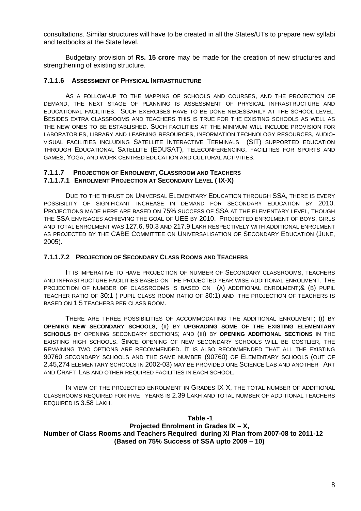consultations. Similar structures will have to be created in all the States/UTs to prepare new syllabi and textbooks at the State level.

Budgetary provision of **Rs. 15 crore** may be made for the creation of new structures and strengthening of existing structure.

#### **7.1.1.6 ASSESSMENT OF PHYSICAL INFRASTRUCTURE**

AS A FOLLOW-UP TO THE MAPPING OF SCHOOLS AND COURSES, AND THE PROJECTION OF DEMAND, THE NEXT STAGE OF PLANNING IS ASSESSMENT OF PHYSICAL INFRASTRUCTURE AND EDUCATIONAL FACILITIES. SUCH EXERCISES HAVE TO BE DONE NECESSARILY AT THE SCHOOL LEVEL. BESIDES EXTRA CLASSROOMS AND TEACHERS THIS IS TRUE FOR THE EXISTING SCHOOLS AS WELL AS THE NEW ONES TO BE ESTABLISHED. SUCH FACILITIES AT THE MINIMUM WILL INCLUDE PROVISION FOR LABORATORIES, LIBRARY AND LEARNING RESOURCES, INFORMATION TECHNOLOGY RESOURCES, AUDIO-VISUAL FACILITIES INCLUDING SATELLITE INTERACTIVE TERMINALS (SIT) SUPPORTED EDUCATION THROUGH EDUCATIONAL SATELLITE (EDUSAT), TELECONFERENCING, FACILITIES FOR SPORTS AND GAMES, YOGA, AND WORK CENTRED EDUCATION AND CULTURAL ACTIVITIES.

#### **7.1.1.7 PROJECTION OF ENROLMENT, CLASSROOM AND TEACHERS 7.1.1.7.1 ENROLMENT PROJECTION AT SECONDARY LEVEL ( IX-X)**

DUE TO THE THRUST ON UNIVERSAL ELEMENTARY EDUCATION THROUGH SSA, THERE IS EVERY POSSIBILITY OF SIGNIFICANT INCREASE IN DEMAND FOR SECONDARY EDUCATION BY 2010. PROJECTIONS MADE HERE ARE BASED ON 75% SUCCESS OF SSA AT THE ELEMENTARY LEVEL, THOUGH THE SSA ENVISAGES ACHIEVING THE GOAL OF UEE BY 2010. PROJECTED ENROLMENT OF BOYS, GIRLS AND TOTAL ENROLMENT WAS 127.6, 90.3 AND 217.9 LAKH RESPECTIVELY WITH ADDITIONAL ENROLMENT AS PROJECTED BY THE CABE COMMITTEE ON UNIVERSALISATION OF SECONDARY EDUCATION (JUNE, 2005).

#### **7.1.1.7.2 PROJECTION OF SECONDARY CLASS ROOMS AND TEACHERS**

IT IS IMPERATIVE TO HAVE PROJECTION OF NUMBER OF SECONDARY CLASSROOMS, TEACHERS AND INFRASTRUCTURE FACILITIES BASED ON THE PROJECTED YEAR WISE ADDITIONAL ENROLMENT. THE PROJECTION OF NUMBER OF CLASSROOMS IS BASED ON (A) ADDITIONAL ENROLMENT;& (B) PUPIL TEACHER RATIO OF 30:1 ( PUPIL CLASS ROOM RATIO OF 30:1) AND THE PROJECTION OF TEACHERS IS BASED ON 1.5 TEACHERS PER CLASS ROOM.

THERE ARE THREE POSSIBILITIES OF ACCOMMODATING THE ADDITIONAL ENROLMENT; (I) BY **OPENING NEW SECONDARY SCHOOLS**, (II) BY **UPGRADING SOME OF THE EXISTING ELEMENTARY SCHOOLS** BY OPENING SECONDARY SECTIONS; AND (III) BY **OPENING ADDITIONAL SECTIONS** IN THE EXISTING HIGH SCHOOLS. SINCE OPENING OF NEW SECONDARY SCHOOLS WILL BE COSTLIER, THE REMAINING TWO OPTIONS ARE RECOMMENDED. IT IS ALSO RECOMMENDED THAT ALL THE EXISTING 90760 SECONDARY SCHOOLS AND THE SAME NUMBER (90760) OF ELEMENTARY SCHOOLS (OUT OF 2,45,274 ELEMENTARY SCHOOLS IN 2002-03) MAY BE PROVIDED ONE SCIENCE LAB AND ANOTHER ART AND CRAFT LAB AND OTHER REQUIRED FACILITIES IN EACH SCHOOL.

IN VIEW OF THE PROJECTED ENROLMENT IN GRADES IX-X, THE TOTAL NUMBER OF ADDITIONAL CLASSROOMS REQUIRED FOR FIVE YEARS IS 2.39 LAKH AND TOTAL NUMBER OF ADDITIONAL TEACHERS REQUIRED IS 3.58 LAKH.

#### **Table -1 Projected Enrolment in Grades IX – X, Number of Class Rooms and Teachers Required during XI Plan from 2007-08 to 2011-12 (Based on 75% Success of SSA upto 2009 – 10)**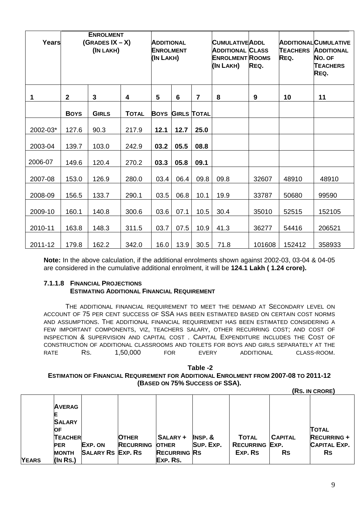| <b>Years</b> | <b>ENROLMENT</b><br>$(GRADES IX - X)$<br>(IN LAKH) |              |              | <b>ADDITIONAL</b><br><b>ENROLMENT</b><br>(IN LAKH) |                 | <b>CUMULATIVEADDL</b><br>ADDITIONAL CLASS<br><b>ENROLMENT ROOMS</b><br>(IN LAKH) | REQ. | <b>TEACHERS</b><br>REQ. | <b>ADDITIONALCUMULATIVE</b><br><b>ADDITIONAL</b><br>NO. OF<br><b>TEACHERS</b><br>REQ. |        |
|--------------|----------------------------------------------------|--------------|--------------|----------------------------------------------------|-----------------|----------------------------------------------------------------------------------|------|-------------------------|---------------------------------------------------------------------------------------|--------|
| 1            | $\mathbf{2}$                                       | $\mathbf{3}$ | 4            | 5                                                  | $6\phantom{1}6$ | $\overline{7}$                                                                   | 8    | 9                       | 10                                                                                    | 11     |
|              | <b>BOYS</b>                                        | <b>GIRLS</b> | <b>TOTAL</b> | <b>BOYS</b>                                        |                 | <b>GIRLS TOTAL</b>                                                               |      |                         |                                                                                       |        |
| 2002-03*     | 127.6                                              | 90.3         | 217.9        | 12.1                                               | 12.7            | 25.0                                                                             |      |                         |                                                                                       |        |
| 2003-04      | 139.7                                              | 103.0        | 242.9        | 03.2                                               | 05.5            | 08.8                                                                             |      |                         |                                                                                       |        |
| 2006-07      | 149.6                                              | 120.4        | 270.2        | 03.3                                               | 05.8            | 09.1                                                                             |      |                         |                                                                                       |        |
| 2007-08      | 153.0                                              | 126.9        | 280.0        | 03.4                                               | 06.4            | 09.8                                                                             | 09.8 | 32607                   | 48910                                                                                 | 48910  |
| 2008-09      | 156.5                                              | 133.7        | 290.1        | 03.5                                               | 06.8            | 10.1                                                                             | 19.9 | 33787                   | 50680                                                                                 | 99590  |
| 2009-10      | 160.1                                              | 140.8        | 300.6        | 03.6                                               | 07.1            | 10.5                                                                             | 30.4 | 35010                   | 52515                                                                                 | 152105 |
| 2010-11      | 163.8                                              | 148.3        | 311.5        | 03.7                                               | 07.5            | 10.9                                                                             | 41.3 | 36277                   | 54416                                                                                 | 206521 |
| 2011-12      | 179.8                                              | 162.2        | 342.0        | 16.0                                               | 13.9            | 30.5                                                                             | 71.8 | 101608                  | 152412                                                                                | 358933 |

**Note:** In the above calculation, if the additional enrolments shown against 2002-03, 03-04 & 04-05 are considered in the cumulative additional enrolment, it will be **124.1 Lakh ( 1.24 crore).** 

#### **7.1.1.8 FINANCIAL PROJECTIONS ESTIMATING ADDITIONAL FINANCIAL REQUIREMENT**

THE ADDITIONAL FINANCIAL REQUIREMENT TO MEET THE DEMAND AT SECONDARY LEVEL ON ACCOUNT OF 75 PER CENT SUCCESS OF SSA HAS BEEN ESTIMATED BASED ON CERTAIN COST NORMS AND ASSUMPTIONS. THE ADDITIONAL FINANCIAL REQUIREMENT HAS BEEN ESTIMATED CONSIDERING A FEW IMPORTANT COMPONENTS, VIZ, TEACHERS SALARY, OTHER RECURRING COST; AND COST OF INSPECTION & SUPERVISION AND CAPITAL COST . CAPITAL EXPENDITURE INCLUDES THE COST OF CONSTRUCTION OF ADDITIONAL CLASSROOMS AND TOILETS FOR BOYS AND GIRLS SEPARATELY AT THE RATE RS. 1,50,000 FOR EVERY ADDITIONAL CLASS-ROOM.

#### **Table -2 ESTIMATION OF FINANCIAL REQUIREMENT FOR ADDITIONAL ENROLMENT FROM 2007-08 TO 2011-12 (BASED ON 75% SUCCESS OF SSA). (RS. IN CRORE)**

|              | <b>AVERAG</b><br>Ε<br><b>SALARY</b><br><b>IOF</b> |                          |                  |                     |                   |                       |                | <b>TOTAL</b>        |
|--------------|---------------------------------------------------|--------------------------|------------------|---------------------|-------------------|-----------------------|----------------|---------------------|
|              | <b>TEACHER</b>                                    |                          | <b>OTHER</b>     | SALARY +            | <b>INSP.&amp;</b> | <b>TOTAL</b>          | <b>CAPITAL</b> | <b>RECURRING +</b>  |
|              | <b>PER</b>                                        | EXP. ON                  | <b>RECURRING</b> | <b>OTHER</b>        | SUP. EXP.         | <b>RECURRING EXP.</b> |                | <b>CAPITAL EXP.</b> |
|              | <b>MONTH</b>                                      | <b>SALARY RS EXP. RS</b> |                  | <b>RECURRING RS</b> |                   | EXP. RS               | <b>Rs</b>      | <b>Rs</b>           |
| <b>YEARS</b> | $(N$ Rs.)                                         |                          |                  | EXP. RS.            |                   |                       |                |                     |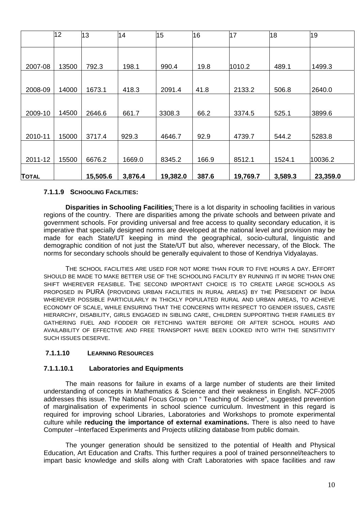|              | 12    | 13       | 14      | 15       | 16    | 17       | 18      | 19       |
|--------------|-------|----------|---------|----------|-------|----------|---------|----------|
|              |       |          |         |          |       |          |         |          |
| 2007-08      | 13500 | 792.3    | 198.1   | 990.4    | 19.8  | 1010.2   | 489.1   | 1499.3   |
|              |       |          |         |          |       |          |         |          |
| 2008-09      | 14000 | 1673.1   | 418.3   | 2091.4   | 41.8  | 2133.2   | 506.8   | 2640.0   |
|              |       |          |         |          |       |          |         |          |
| 2009-10      | 14500 | 2646.6   | 661.7   | 3308.3   | 66.2  | 3374.5   | 525.1   | 3899.6   |
|              |       |          |         |          |       |          |         |          |
| 2010-11      | 15000 | 3717.4   | 929.3   | 4646.7   | 92.9  | 4739.7   | 544.2   | 5283.8   |
|              |       |          |         |          |       |          |         |          |
| 2011-12      | 15500 | 6676.2   | 1669.0  | 8345.2   | 166.9 | 8512.1   | 1524.1  | 10036.2  |
| <b>TOTAL</b> |       | 15,505.6 | 3,876.4 | 19,382.0 | 387.6 | 19,769.7 | 3,589.3 | 23,359.0 |

#### **7.1.1.9 SCHOOLING FACILITIES:**

**Disparities in Schooling Facilities**: There is a lot disparity in schooling facilities in various regions of the country. There are disparities among the private schools and between private and government schools. For providing universal and free access to quality secondary education, it is imperative that specially designed norms are developed at the national level and provision may be made for each State/UT keeping in mind the geographical, socio-cultural, linguistic and demographic condition of not just the State/UT but also, wherever necessary, of the Block. The norms for secondary schools should be generally equivalent to those of Kendriya Vidyalayas.

THE SCHOOL FACILITIES ARE USED FOR NOT MORE THAN FOUR TO FIVE HOURS A DAY. EFFORT SHOULD BE MADE TO MAKE BETTER USE OF THE SCHOOLING FACILITY BY RUNNING IT IN MORE THAN ONE SHIFT WHEREVER FEASIBLE. THE SECOND IMPORTANT CHOICE IS TO CREATE LARGE SCHOOLS AS PROPOSED IN PURA (PROVIDING URBAN FACILITIES IN RURAL AREAS) BY THE PRESIDENT OF INDIA WHEREVER POSSIBLE PARTICULARLY IN THICKLY POPULATED RURAL AND URBAN AREAS, TO ACHIEVE ECONOMY OF SCALE, WHILE ENSURING THAT THE CONCERNS WITH RESPECT TO GENDER ISSUES, CASTE HIERARCHY, DISABILITY, GIRLS ENGAGED IN SIBLING CARE, CHILDREN SUPPORTING THEIR FAMILIES BY GATHERING FUEL AND FODDER OR FETCHING WATER BEFORE OR AFTER SCHOOL HOURS AND AVAILABILITY OF EFFECTIVE AND FREE TRANSPORT HAVE BEEN LOOKED INTO WITH THE SENSITIVITY SUCH ISSUES DESERVE.

#### **7.1.1.10 LEARNING RESOURCES**

#### **7.1.1.10.1 Laboratories and Equipments**

The main reasons for failure in exams of a large number of students are their limited understanding of concepts in Mathematics & Science and their weakness in English. NCF-2005 addresses this issue. The National Focus Group on " Teaching of Science", suggested prevention of marginalisation of experiments in school science curriculum. Investment in this regard is required for improving school Libraries, Laboratories and Workshops to promote experimental culture while **reducing the importance of external examinations.** There is also need to have Computer –Interfaced Experiments and Projects utilizing database from public domain.

The younger generation should be sensitized to the potential of Health and Physical Education, Art Education and Crafts. This further requires a pool of trained personnel/teachers to impart basic knowledge and skills along with Craft Laboratories with space facilities and raw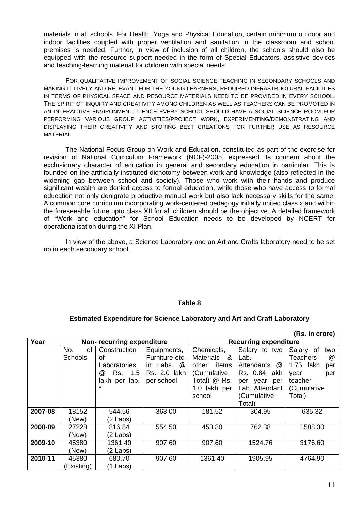materials in all schools. For Health, Yoga and Physical Education, certain minimum outdoor and indoor facilities coupled with proper ventilation and sanitation in the classroom and school premises is needed. Further, in view of inclusion of all children, the schools should also be equipped with the resource support needed in the form of Special Educators, assistive devices and teaching-learning material for children with special needs.

FOR QUALITATIVE IMPROVEMENT OF SOCIAL SCIENCE TEACHING IN SECONDARY SCHOOLS AND MAKING IT LIVELY AND RELEVANT FOR THE YOUNG LEARNERS, REQUIRED INFRASTRUCTURAL FACILITIES IN TERMS OF PHYSICAL SPACE AND RESOURCE MATERIALS NEED TO BE PROVIDED IN EVERY SCHOOL. THE SPIRIT OF INQUIRY AND CREATIVITY AMONG CHILDREN AS WELL AS TEACHERS CAN BE PROMOTED IN AN INTERACTIVE ENVIRONMENT. HENCE EVERY SCHOOL SHOULD HAVE A SOCIAL SCIENCE ROOM FOR PERFORMING VARIOUS GROUP ACTIVITIES/PROJECT WORK, EXPERIMENTING/DEMONSTRATING AND DISPLAYING THEIR CREATIVITY AND STORING BEST CREATIONS FOR FURTHER USE AS RESOURCE MATERIAL.

The National Focus Group on Work and Education, constituted as part of the exercise for revision of National Curriculum Framework (NCF)-2005, expressed its concern about the exclusionary character of education in general and secondary education in particular. This is founded on the artificially instituted dichotomy between work and knowledge (also reflected in the widening gap between school and society). Those who work with their hands and produce significant wealth are denied access to formal education, while those who have access to formal education not only denigrate productive manual work but also lack necessary skills for the same. A common core curriculum incorporating work-centered pedagogy initially united class x and within the foreseeable future upto class XII for all children should be the objective. A detailed framework of "Work and education" for School Education needs to be developed by NCERT for operationalisation during the XI Plan.

In view of the above, a Science Laboratory and an Art and Crafts laboratory need to be set up in each secondary school.

#### **Table 8**

#### **Estimated Expenditure for Science Laboratory and Art and Craft Laboratory**

|         |                |                           |                |                    |                              | (Rs. in crore)              |  |
|---------|----------------|---------------------------|----------------|--------------------|------------------------------|-----------------------------|--|
| Year    |                | Non-recurring expenditure |                |                    | <b>Recurring expenditure</b> |                             |  |
|         | No.<br>0f      | Construction              | Equipments,    | Chemicals,         | Salary to two                | Salary of<br>two            |  |
|         | <b>Schools</b> | οf                        | Furniture etc. | Materials &        | Lab.                         | <b>Teachers</b><br>$\omega$ |  |
|         |                | Laboratories              | in Labs. @     | other<br>items     | Attendants<br>@              | 1.75<br>lakh<br>per         |  |
|         |                | @<br>Rs. 1.5              | Rs. 2.0 lakh   | (Cumulative        | Rs. 0.84<br>lakh             | year<br>per                 |  |
|         |                | lakh<br>lab.<br>per       | per school     | Total) @ Rs.       | year<br>per<br>per           | teacher                     |  |
|         |                | $\star$                   |                | 1.0 lakh per       | Lab. Attendant               | (Cumulative                 |  |
|         |                |                           |                | school             | (Cumulative                  | Total)                      |  |
|         |                |                           |                |                    | Total)                       |                             |  |
| 2007-08 | 18152          | 544.56                    | 363.00         | 181.52             | 304.95                       | 635.32                      |  |
|         | (New)          | (2 Labs)                  |                |                    |                              |                             |  |
| 2008-09 | 27228          | 816.84                    | 554.50         | 453.80             | 762.38                       | 1588.30                     |  |
|         | (New)          | (2 Labs)                  |                |                    |                              |                             |  |
| 2009-10 | 45380          | 1361.40                   | 907.60         | 907.60             | 1524.76                      | 3176.60                     |  |
|         | (New)          | (2 Labs)                  |                |                    |                              |                             |  |
| 2010-11 | 45380          | 680.70                    | 907.60         | 1361.40<br>1905.95 |                              | 4764.90                     |  |
|         | (Existing)     | (1 Labs)                  |                |                    |                              |                             |  |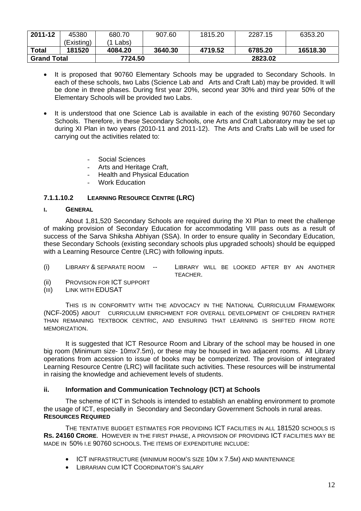| 2011-12            | 45380      | 680.70  | 907.60  | 1815.20 | 2287.15 | 6353.20  |
|--------------------|------------|---------|---------|---------|---------|----------|
|                    | (Existing) | Labs)   |         |         |         |          |
| <b>Total</b>       | 181520     | 4084.20 | 3640.30 | 4719.52 | 6785.20 | 16518.30 |
| <b>Grand Total</b> |            | 7724.50 |         |         | 2823.02 |          |

- It is proposed that 90760 Elementary Schools may be upgraded to Secondary Schools. In each of these schools, two Labs (Science Lab and Arts and Craft Lab) may be provided. It will be done in three phases. During first year 20%, second year 30% and third year 50% of the Elementary Schools will be provided two Labs.
- It is understood that one Science Lab is available in each of the existing 90760 Secondary Schools. Therefore, in these Secondary Schools, one Arts and Craft Laboratory may be set up during XI Plan in two years (2010-11 and 2011-12). The Arts and Crafts Lab will be used for carrying out the activities related to:

Social Sciences

- Arts and Heritage Craft,
- Health and Physical Education
- Work Education

# **7.1.1.10.2 LEARNING RESOURCE CENTRE (LRC)**

#### **I. GENERAL**

About 1,81,520 Secondary Schools are required during the XI Plan to meet the challenge of making provision of Secondary Education for accommodating VIII pass outs as a result of success of the Sarva Shiksha Abhiyan (SSA). In order to ensure quality in Secondary Education, these Secondary Schools (existing secondary schools plus upgraded schools) should be equipped with a Learning Resource Centre (LRC) with following inputs.

- (i) LIBRARY & SEPARATE ROOM -- LIBRARY WILL BE LOOKED AFTER BY AN ANOTHER TEACHER.
- (ii) PROVISION FOR ICT SUPPORT
- (III) LINK WITH EDUSAT

THIS IS IN CONFORMITY WITH THE ADVOCACY IN THE NATIONAL CURRICULUM FRAMEWORK (NCF-2005) ABOUT CURRICULUM ENRICHMENT FOR OVERALL DEVELOPMENT OF CHILDREN RATHER THAN REMAINING TEXTBOOK CENTRIC, AND ENSURING THAT LEARNING IS SHIFTED FROM ROTE MEMORIZATION.

 It is suggested that ICT Resource Room and Library of the school may be housed in one big room (Minimum size- 10mx7.5m), or these may be housed in two adjacent rooms. All Library operations from accession to issue of books may be computerized. The provision of integrated Learning Resource Centre (LRC) will facilitate such activities. These resources will be instrumental in raising the knowledge and achievement levels of students.

#### **ii. Information and Communication Technology (ICT) at Schools**

The scheme of ICT in Schools is intended to establish an enabling environment to promote the usage of ICT, especially in Secondary and Secondary Government Schools in rural areas. **RESOURCES REQUIRED** 

THE TENTATIVE BUDGET ESTIMATES FOR PROVIDING ICT FACILITIES IN ALL 181520 SCHOOLS IS **RS. 24160 CRORE**. HOWEVER IN THE FIRST PHASE, A PROVISION OF PROVIDING ICT FACILITIES MAY BE MADE IN 50% I.E 90760 SCHOOLS. THE ITEMS OF EXPENDITURE INCLUDE:

- ICT INFRASTRUCTURE (MINIMUM ROOM'S SIZE 10M X 7.5M) AND MAINTENANCE
- LIBRARIAN CUM ICT COORDINATOR'S SALARY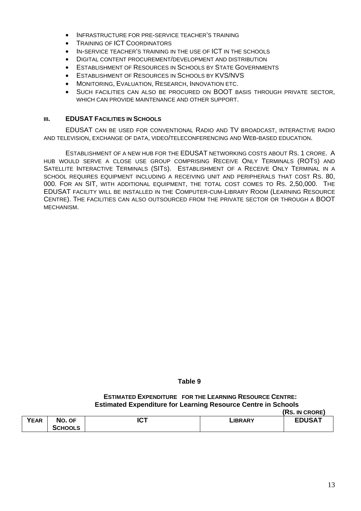- INFRASTRUCTURE FOR PRE-SERVICE TEACHER'S TRAINING
- **TRAINING OF ICT COORDINATORS**
- IN-SERVICE TEACHER'S TRAINING IN THE USE OF ICT IN THE SCHOOLS
- DIGITAL CONTENT PROCUREMENT/DEVELOPMENT AND DISTRIBUTION
- ESTABLISHMENT OF RESOURCES IN SCHOOLS BY STATE GOVERNMENTS
- **ESTABLISHMENT OF RESOURCES IN SCHOOLS BY KVS/NVS**
- MONITORING, EVALUATION, RESEARCH, INNOVATION ETC.
- SUCH FACILITIES CAN ALSO BE PROCURED ON BOOT BASIS THROUGH PRIVATE SECTOR. WHICH CAN PROVIDE MAINTENANCE AND OTHER SUPPORT.

#### **III. EDUSAT FACILITIES IN SCHOOLS**

EDUSAT CAN BE USED FOR CONVENTIONAL RADIO AND TV BROADCAST, INTERACTIVE RADIO AND TELEVISION, EXCHANGE OF DATA, VIDEO/TELECONFERENCING AND WEB-BASED EDUCATION.

ESTABLISHMENT OF A NEW HUB FOR THE EDUSAT NETWORKING COSTS ABOUT RS. 1 CRORE. A HUB WOULD SERVE A CLOSE USE GROUP COMPRISING RECEIVE ONLY TERMINALS (ROTS) AND SATELLITE INTERACTIVE TERMINALS (SITS). ESTABLISHMENT OF A RECEIVE ONLY TERMINAL IN A SCHOOL REQUIRES EQUIPMENT INCLUDING A RECEIVING UNIT AND PERIPHERALS THAT COST RS. 80, 000. FOR AN SIT, WITH ADDITIONAL EQUIPMENT, THE TOTAL COST COMES TO RS. 2,50,000. THE EDUSAT FACILITY WILL BE INSTALLED IN THE COMPUTER-CUM-LIBRARY ROOM (LEARNING RESOURCE CENTRE). THE FACILITIES CAN ALSO OUTSOURCED FROM THE PRIVATE SECTOR OR THROUGH A BOOT MECHANISM.

#### **Table 9**

#### **ESTIMATED EXPENDITURE FOR THE LEARNING RESOURCE CENTRE: Estimated Expenditure for Learning Resource Centre in Schools (RS. IN CRORE)**

|             |                |             |                | INS. IN CROKET |
|-------------|----------------|-------------|----------------|----------------|
| <b>YEAR</b> | No. OF         | דמו<br>ו טו | <b>LIBRARY</b> | <b>EDUSAT</b>  |
|             | <b>SCHOOLS</b> |             |                |                |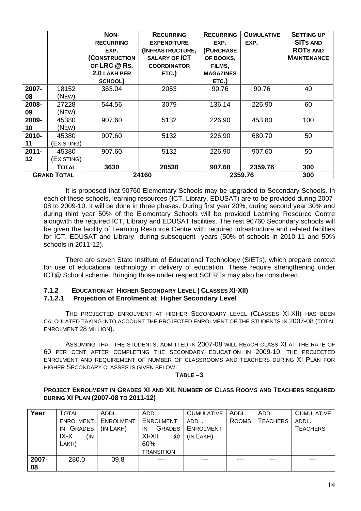|          |                    | NON-             | <b>RECURRING</b>     | <b>RECURRING</b> | <b>CUMULATIVE</b> | <b>SETTING UP</b>  |
|----------|--------------------|------------------|----------------------|------------------|-------------------|--------------------|
|          |                    | <b>RECURRING</b> | <b>EXPENDITURE</b>   | EXP.             | EXP.              | <b>SITS AND</b>    |
|          |                    | EXP.             | (INFRASTRUCTURE,     | (PURCHASE        |                   | <b>ROTS AND</b>    |
|          |                    | (CONSTRUCTION    | <b>SALARY OF ICT</b> | OF BOOKS,        |                   | <b>MAINTENANCE</b> |
|          |                    | OF LRC @ RS.     | <b>COORDINATOR</b>   | FILMS,           |                   |                    |
|          |                    | 2.0 LAKH PER     | ETC.)                | <b>MAGAZINES</b> |                   |                    |
|          |                    | SCHOOL)          |                      | ETC.)            |                   |                    |
| 2007-    | 18152              | 363.04           | 2053                 | 90.76            | 90.76             | 40                 |
| 08       | (NEW)              |                  |                      |                  |                   |                    |
| 2008-    | 27228              | 544.56           | 3079                 | 136.14           | 226.90            | 60                 |
| 09       | (NEW)              |                  |                      |                  |                   |                    |
| 2009-    | 45380              | 907.60           | 5132                 | 226.90           | 453.80            | 100                |
| 10       | (NEW)              |                  |                      |                  |                   |                    |
| 2010-    | 45380              | 907.60           | 5132                 | 226.90           | 680.70            | 50                 |
| 11       | (Existing)         |                  |                      |                  |                   |                    |
| $2011 -$ | 45380              | 907.60           | 5132                 | 226.90           | 907.60            | 50                 |
| 12       | (Existing)         |                  |                      |                  |                   |                    |
|          | <b>TOTAL</b>       | 3630             | 20530                | 907.60           | 2359.76           | 300                |
|          | <b>GRAND TOTAL</b> |                  | 24160                | 2359.76          | 300               |                    |

It is proposed that 90760 Elementary Schools may be upgraded to Secondary Schools. In each of these schools, learning resources (ICT, Library, EDUSAT) are to be provided during 2007- 08 to 2009-10. It will be done in three phases. During first year 20%, during second year 30% and during third year 50% of the Elementary Schools will be provided Learning Resource Centre alongwith the required ICT, Library and EDUSAT facilities. The rest 90760 Secondary schools will be given the facility of Learning Resource Centre with required infrastructure and related facilties for ICT, EDUSAT and Library during subsequent years (50% of schools in 2010-11 and 50% schools in 2011-12).

There are seven State Institute of Educational Technology (SIETs), which prepare context for use of educational technology in delivery of education. These require strengthening under ICT@ School scheme. Bringing those under respect SCERTs may also be considered.

#### **7.1.2 EDUCATION AT HIGHER SECONDARY LEVEL ( CLASSES XI-XII) 7.1.2.1 Projection of Enrolment at Higher Secondary Level**

THE PROJECTED ENROLMENT AT HIGHER SECONDARY LEVEL (CLASSES XI-XII) HAS BEEN CALCULATED TAKING INTO ACCOUNT THE PROJECTED ENROLMENT OF THE STUDENTS IN 2007-08 (TOTAL ENROLMENT 28 MILLION).

ASSUMING THAT THE STUDENTS, ADMITTED IN 2007-08 WILL REACH CLASS XI AT THE RATE OF 60 PER CENT AFTER COMPLETING THE SECONDARY EDUCATION IN 2009-10, THE PROJECTED ENROLMENT AND REQUIREMENT OF NUMBER OF CLASSROOMS AND TEACHERS DURING XI PLAN FOR HIGHER SECONDARY CLASSES IS GIVEN BELOW.

#### **TABLE –3**

**PROJECT ENROLMENT IN GRADES XI AND XII, NUMBER OF CLASS ROOMS AND TEACHERS REQUIRED DURING XI PLAN (2007-08 TO 2011-12)** 

| Year  | TOTAL               | ADDL.     | ADDL.               | <b>CUMULATIVE</b> | ADDL.        | ADDL.           | <b>CUMULATIVE</b> |
|-------|---------------------|-----------|---------------------|-------------------|--------------|-----------------|-------------------|
|       | <b>ENROLMENT</b>    | ENROLMENT | <b>ENROLMENT</b>    | ADDL.             | <b>ROOMS</b> | <b>TEACHERS</b> | ADDL.             |
|       | <b>GRADES</b><br>IN | (IN LAKH) | <b>GRADES</b><br>IN | <b>ENROLMENT</b>  |              |                 | <b>TEACHERS</b>   |
|       | IX-X<br>(IN-        |           | XI-XII<br>@         | (IN LAKH)         |              |                 |                   |
|       | LAKH)               |           | 60%                 |                   |              |                 |                   |
|       |                     |           | <b>TRANSITION</b>   |                   |              |                 |                   |
| 2007- | 280.0               | 09.8      | $---$               | $- - -$           | ---          | ---             | ---               |
| 08    |                     |           |                     |                   |              |                 |                   |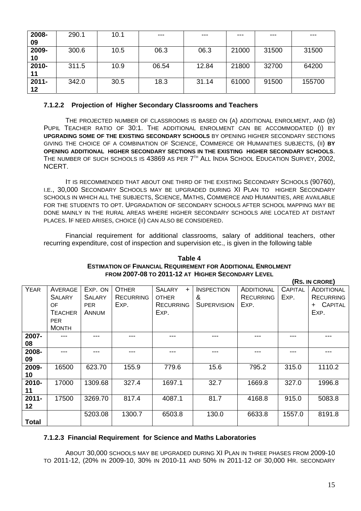| 2008-    | 290.1 | 10.1 | $---$ | $--$  | $---$ | ---   | ---    |
|----------|-------|------|-------|-------|-------|-------|--------|
| 09       |       |      |       |       |       |       |        |
| 2009-    | 300.6 | 10.5 | 06.3  | 06.3  | 21000 | 31500 | 31500  |
| 10       |       |      |       |       |       |       |        |
| 2010-    | 311.5 | 10.9 | 06.54 | 12.84 | 21800 | 32700 | 64200  |
| 11       |       |      |       |       |       |       |        |
| $2011 -$ | 342.0 | 30.5 | 18.3  | 31.14 | 61000 | 91500 | 155700 |
| 12       |       |      |       |       |       |       |        |

#### **7.1.2.2 Projection of Higher Secondary Classrooms and Teachers**

THE PROJECTED NUMBER OF CLASSROOMS IS BASED ON (A) ADDITIONAL ENROLMENT, AND (B) PUPIL TEACHER RATIO OF 30:1. THE ADDITIONAL ENROLMENT CAN BE ACCOMMODATED (I) BY **UPGRADING SOME OF THE EXISTING SECONDARY SCHOOLS** BY OPENING HIGHER SECONDARY SECTIONS GIVING THE CHOICE OF A COMBINATION OF SCIENCE, COMMERCE OR HUMANITIES SUBJECTS, (II) **BY OPENING ADDITIONAL HIGHER SECONDARY SECTIONS IN THE EXISTING HIGHER SECONDARY SCHOOLS**. THE NUMBER OF SUCH SCHOOLS IS 43869 AS PER 7<sup>TH</sup> ALL INDIA SCHOOL EDUCATION SURVEY, 2002, NCERT.

IT IS RECOMMENDED THAT ABOUT ONE THIRD OF THE EXISTING SECONDARY SCHOOLS (90760), I.E., 30,000 SECONDARY SCHOOLS MAY BE UPGRADED DURING XI PLAN TO HIGHER SECONDARY SCHOOLS IN WHICH ALL THE SUBJECTS, SCIENCE, MATHS, COMMERCE AND HUMANITIES, ARE AVAILABLE FOR THE STUDENTS TO OPT. UPGRADATION OF SECONDARY SCHOOLS AFTER SCHOOL MAPPING MAY BE DONE MAINLY IN THE RURAL AREAS WHERE HIGHER SECONDARY SCHOOLS ARE LOCATED AT DISTANT PLACES. IF NEED ARISES, CHOICE (II) CAN ALSO BE CONSIDERED.

Financial requirement for additional classrooms, salary of additional teachers, other recurring expenditure, cost of inspection and supervision etc., is given in the following table

#### **Table 4 ESTIMATION OF FINANCIAL REQUIREMENT FOR ADDITIONAL ENROLMENT FROM 2007-08 TO 2011-12 AT HIGHER SECONDARY LEVEL**

|              |                          |                          |                                  |                                      |                        |                                       |                        | (RS. IN CRORE)                        |
|--------------|--------------------------|--------------------------|----------------------------------|--------------------------------------|------------------------|---------------------------------------|------------------------|---------------------------------------|
| <b>YEAR</b>  | AVERAGE<br><b>SALARY</b> | EXP. ON<br><b>SALARY</b> | <b>OTHER</b><br><b>RECURRING</b> | <b>SALARY</b><br>$+$<br><b>OTHER</b> | <b>INSPECTION</b><br>& | <b>ADDITIONAL</b><br><b>RECURRING</b> | <b>CAPITAL</b><br>EXP. | <b>ADDITIONAL</b><br><b>RECURRING</b> |
|              | OF                       | <b>PER</b>               | EXP.                             | <b>RECURRING</b>                     | <b>SUPERVISION</b>     | EXP.                                  |                        | <b>CAPITAL</b><br>$\ddot{}$           |
|              | <b>TEACHER</b>           | ANNUM                    |                                  | EXP.                                 |                        |                                       |                        | EXP.                                  |
|              | <b>PER</b>               |                          |                                  |                                      |                        |                                       |                        |                                       |
|              | <b>MONTH</b>             |                          |                                  |                                      |                        |                                       |                        |                                       |
| 2007-        |                          |                          | ---                              | ---                                  | ---                    |                                       |                        |                                       |
| 08           |                          |                          |                                  |                                      |                        |                                       |                        |                                       |
| 2008-        |                          |                          |                                  | ---                                  | ---                    |                                       |                        | ---                                   |
| 09           |                          |                          |                                  |                                      |                        |                                       |                        |                                       |
| 2009-        | 16500                    | 623.70                   | 155.9                            | 779.6                                | 15.6                   | 795.2                                 | 315.0                  | 1110.2                                |
| 10           |                          |                          |                                  |                                      |                        |                                       |                        |                                       |
| 2010-        | 17000                    | 1309.68                  | 327.4                            | 1697.1                               | 32.7                   | 1669.8                                | 327.0                  | 1996.8                                |
| 11           |                          |                          |                                  |                                      |                        |                                       |                        |                                       |
| $2011 -$     | 17500                    | 3269.70                  | 817.4                            | 4087.1                               | 81.7                   | 4168.8                                | 915.0                  | 5083.8                                |
| 12           |                          |                          |                                  |                                      |                        |                                       |                        |                                       |
|              |                          | 5203.08                  | 1300.7                           | 6503.8                               | 130.0                  | 6633.8                                | 1557.0                 | 8191.8                                |
| <b>Total</b> |                          |                          |                                  |                                      |                        |                                       |                        |                                       |

#### **7.1.2.3 Financial Requirement for Science and Maths Laboratories**

ABOUT 30,000 SCHOOLS MAY BE UPGRADED DURING XI PLAN IN THREE PHASES FROM 2009-10 TO 2011-12, (20% IN 2009-10, 30% IN 2010-11 AND 50% IN 2011-12 OF 30,000 HR. SECONDARY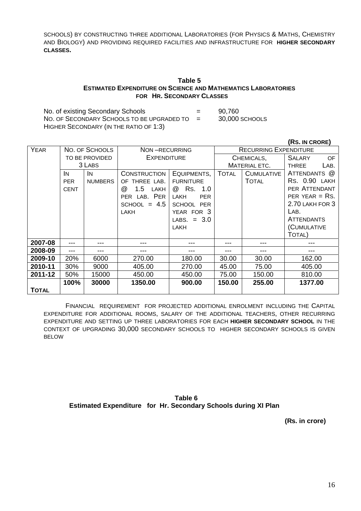SCHOOLS) BY CONSTRUCTING THREE ADDITIONAL LABORATORIES (FOR PHYSICS & MATHS, CHEMISTRY AND BIOLOGY) AND PROVIDING REQUIRED FACILITIES AND INFRASTRUCTURE FOR **HIGHER SECONDARY CLASSES.** 

#### **Table 5 ESTIMATED EXPENDITURE ON SCIENCE AND MATHEMATICS LABORATORIES FOR HR. SECONDARY CLASSES**

No. of existing Secondary Schools = 90,760 NO. OF SECONDARY SCHOOLS TO BE UPGRADED TO = 30,000 SCHOOLS HIGHER SECONDARY (IN THE RATIO OF 1:3)

|              |                |                |                                     |                                               |              |                   | <b>(RS. IN CRORE)</b> |
|--------------|----------------|----------------|-------------------------------------|-----------------------------------------------|--------------|-------------------|-----------------------|
| <b>YEAR</b>  |                | NO. OF SCHOOLS |                                     | <b>RECURRING EXPENDITURE</b><br>NON-RECURRING |              |                   |                       |
|              | TO BE PROVIDED |                | <b>EXPENDITURE</b>                  |                                               | CHEMICALS,   |                   | <b>SALARY</b><br>OF   |
|              |                | 3 LABS         |                                     |                                               |              | MATERIAL ETC.     | LAB.<br><b>THREE</b>  |
|              | IN.            | IN.            | <b>CONSTRUCTION</b>                 | EQUIPMENTS,                                   | <b>TOTAL</b> | <b>CUMULATIVE</b> | ATTENDANTS @          |
|              | <b>PER</b>     | <b>NUMBERS</b> | OF THREE LAB.                       | <b>FURNITURE</b>                              |              | <b>TOTAL</b>      | RS. 0.90 LAKH         |
|              | <b>CENT</b>    |                | 1.5<br>$^{\textregistered}$<br>LAKH | Rs.<br>@<br>1.0                               |              |                   | PER ATTENDANT         |
|              |                |                | PER LAB. PER                        | <b>PER</b><br><b>LAKH</b>                     |              |                   | PER YEAR $=$ RS.      |
|              |                |                | SCHOOL = $4.5$                      | SCHOOL PER                                    |              |                   | 2.70 LAKH FOR 3       |
|              |                |                | <b>LAKH</b>                         | YEAR FOR 3                                    |              |                   | LAB.                  |
|              |                |                |                                     | $= 3.0$<br>LABS.                              |              |                   | <b>ATTENDANTS</b>     |
|              |                |                |                                     | LAKH                                          |              |                   | (CUMULATIVE           |
|              |                |                |                                     |                                               |              |                   | TOTAL)                |
| 2007-08      |                |                |                                     |                                               |              |                   |                       |
| 2008-09      |                |                | ---                                 |                                               |              |                   |                       |
| 2009-10      | 20%            | 6000           | 270.00                              | 180.00                                        | 30.00        | 30.00             | 162.00                |
| 2010-11      | 30%            | 9000           | 405.00                              | 270.00                                        | 45.00        | 75.00             | 405.00                |
| 2011-12      | 50%            | 15000          | 450.00                              | 450.00                                        | 75.00        | 150.00            | 810.00                |
|              | 100%           | 30000          | 1350.00                             | 900.00                                        | 150.00       | 255.00            | 1377.00               |
| <b>TOTAL</b> |                |                |                                     |                                               |              |                   |                       |

FINANCIAL REQUIREMENT FOR PROJECTED ADDITIONAL ENROLMENT INCLUDING THE CAPITAL EXPENDITURE FOR ADDITIONAL ROOMS, SALARY OF THE ADDITIONAL TEACHERS, OTHER RECURRING EXPENDITURE AND SETTING UP THREE LABORATORIES FOR EACH **HIGHER SECONDARY SCHOOL** IN THE CONTEXT OF UPGRADING 30,000 SECONDARY SCHOOLS TO HIGHER SECONDARY SCHOOLS IS GIVEN BELOW

**Table 6 Estimated Expenditure for Hr. Secondary Schools during XI Plan** 

 **(Rs. in crore)**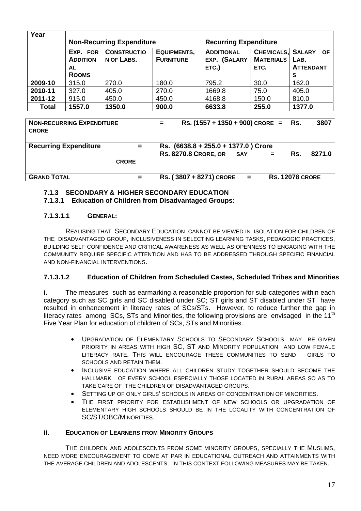| Year         | <b>Non-Recurring Expenditure</b> |                                  |                                 | <b>Recurring Expenditure</b>      |                  |                              |
|--------------|----------------------------------|----------------------------------|---------------------------------|-----------------------------------|------------------|------------------------------|
|              | EXP. FOR<br><b>ADDITION</b>      | <b>CONSTRUCTIO</b><br>N OF LABS. | EQUIPMENTS,<br><b>FURNITURE</b> | <b>ADDITIONAL</b><br>EXP. (SALARY | <b>MATERIALS</b> | CHEMICALS, SALARY OF<br>LAB. |
|              | AL<br><b>ROOMS</b>               |                                  |                                 | ETC.)                             | ETC.             | <b>ATTENDANT</b><br>s        |
| 2009-10      | 315.0                            | 270.0                            | 180.0                           | 795.2                             | 30.0             | 162.0                        |
| 2010-11      | 327.0                            | 405.0                            | 270.0                           | 1669.8                            | 75.0             | 405.0                        |
| 2011-12      | 915.0                            | 450.0                            | 450.0                           | 4168.8                            | 150.0            | 810.0                        |
| <b>Total</b> | 1557.0                           | 1350.0                           | 900.0                           | 6633.8                            | 255.0            | 1377.0                       |

**NON-RECURRING EXPENDITURE = RS. (1557 + 1350 + 900) CRORE = RS. 3807 CRORE Recurring Expenditure = Rs. (6638.8 + 255.0 + 1377.0 ) Crore RS. 8270.8 CRORE, OR SAY = RS. 8271.0 CRORE GRAND TOTAL = RS. ( 3807 + 8271) CRORE = RS. 12078 CRORE**

# **7.1.3 SECONDARY & HIGHER SECONDARY EDUCATION**

**7.1.3.1 Education of Children from Disadvantaged Groups:** 

# **7.1.3.1.1 GENERAL:**

REALISING THAT SECONDARY EDUCATION CANNOT BE VIEWED IN ISOLATION FOR CHILDREN OF THE DISADVANTAGED GROUP, INCLUSIVENESS IN SELECTING LEARNING TASKS, PEDAGOGIC PRACTICES, BUILDING SELF-CONFIDENCE AND CRITICAL AWARENESS AS WELL AS OPENNESS TO ENGAGING WITH THE COMMUNITY REQUIRE SPECIFIC ATTENTION AND HAS TO BE ADDRESSED THROUGH SPECIFIC FINANCIAL AND NON-FINANCIAL INTERVENTIONS.

#### **7.1.3.1.2 Education of Children from Scheduled Castes, Scheduled Tribes and Minorities**

**i.** The measures such as earmarking a reasonable proportion for sub-categories within each category such as SC girls and SC disabled under SC; ST girls and ST disabled under ST have resulted in enhancement in literacy rates of SCs/STs. However, to reduce further the gap in literacy rates among SCs, STs and Minorities, the following provisions are envisaged in the 11<sup>th</sup> Five Year Plan for education of children of SCs, STs and Minorities.

- UPGRADATION OF ELEMENTARY SCHOOLS TO SECONDARY SCHOOLS MAY BE GIVEN PRIORITY IN AREAS WITH HIGH SC, ST AND MINORITY POPULATION AND LOW FEMALE LITERACY RATE. THIS WILL ENCOURAGE THESE COMMUNITIES TO SEND GIRLS TO SCHOOLS AND RETAIN THEM.
- INCLUSIVE EDUCATION WHERE ALL CHILDREN STUDY TOGETHER SHOULD BECOME THE HALLMARK OF EVERY SCHOOL ESPECIALLY THOSE LOCATED IN RURAL AREAS SO AS TO TAKE CARE OF THE CHILDREN OF DISADVANTAGED GROUPS.
- SETTING UP OF ONLY GIRLS' SCHOOLS IN AREAS OF CONCENTRATION OF MINORITIES.
- THE FIRST PRIORITY FOR ESTABLISHMENT OF NEW SCHOOLS OR UPGRADATION OF ELEMENTARY HIGH SCHOOLS SHOULD BE IN THE LOCALITY WITH CONCENTRATION OF SC/ST/OBC/MINORITIES.

#### **ii. EDUCATION OF LEARNERS FROM MINORITY GROUPS**

THE CHILDREN AND ADOLESCENTS FROM SOME MINORITY GROUPS, SPECIALLY THE MUSLIMS, NEED MORE ENCOURAGEMENT TO COME AT PAR IN EDUCATIONAL OUTREACH AND ATTAINMENTS WITH THE AVERAGE CHILDREN AND ADOLESCENTS. IN THIS CONTEXT FOLLOWING MEASURES MAY BE TAKEN.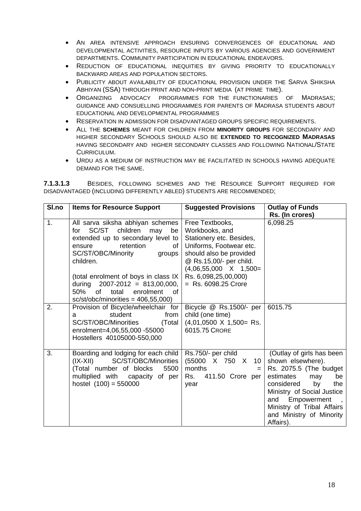- AN AREA INTENSIVE APPROACH ENSURING CONVERGENCES OF EDUCATIONAL AND DEVELOPMENTAL ACTIVITIES, RESOURCE INPUTS BY VARIOUS AGENCIES AND GOVERNMENT DEPARTMENTS. COMMUNITY PARTICIPATION IN EDUCATIONAL ENDEAVORS.
- REDUCTION OF EDUCATIONAL INEQUITIES BY GIVING PRIORITY TO EDUCATIONALLY BACKWARD AREAS AND POPULATION SECTORS.
- PUBLICITY ABOUT AVAILABILITY OF EDUCATIONAL PROVISION UNDER THE SARVA SHIKSHA ABHIYAN (SSA) THROUGH PRINT AND NON-PRINT MEDIA (AT PRIME TIME).
- ORGANIZING ADVOCACY PROGRAMMES FOR THE FUNCTIONARIES OF MADRASAS; GUIDANCE AND CONSUELLING PROGRAMMES FOR PARENTS OF MADRASA STUDENTS ABOUT EDUCATIONAL AND DEVELOPMENTAL PROGRAMMES
- RESERVATION IN ADMISSION FOR DISADVANTAGED GROUPS SPECIFIC REQUIREMENTS.
- ALL THE **SCHEMES** MEANT FOR CHILDREN FROM **MINORITY GROUPS** FOR SECONDARY AND HIGHER SECONDARY SCHOOLS SHOULD ALSO BE **EXTENDED TO RECOGNIZED MADRASAS** HAVING SECONDARY AND HIGHER SECONDARY CLASSES AND FOLLOWING NATIONAL/STATE CURRICULUM.
- URDU AS A MEDIUM OF INSTRUCTION MAY BE FACILITATED IN SCHOOLS HAVING ADEQUATE DEMAND FOR THE SAME.

**7.1.3.1.3** BESIDES, FOLLOWING SCHEMES AND THE RESOURCE SUPPORT REQUIRED FOR DISADVANTAGED (INCLUDING DIFFERENTLY ABLED) STUDENTS ARE RECOMMENDED;

| SI.no | <b>Items for Resource Support</b>                                                                                                                                                                                                                                                                                                                    | <b>Suggested Provisions</b>                                                                                                                                                                                                     | <b>Outlay of Funds</b><br>Rs. (In crores)                                                                                                                                                                                                                                    |
|-------|------------------------------------------------------------------------------------------------------------------------------------------------------------------------------------------------------------------------------------------------------------------------------------------------------------------------------------------------------|---------------------------------------------------------------------------------------------------------------------------------------------------------------------------------------------------------------------------------|------------------------------------------------------------------------------------------------------------------------------------------------------------------------------------------------------------------------------------------------------------------------------|
| 1.    | All sarva siksha abhiyan schemes<br>children<br>SC/ST<br>may<br>be<br>for<br>extended up to secondary level to<br>retention<br>οf<br>ensure<br>SC/ST/OBC/Minority<br>groups<br>children.<br>(total enrolment of boys in class IX<br>during $2007 - 2012 = 813,00,000,$<br>50%<br>of total<br>enrolment<br>of<br>$sc/st/obc/minorities = 406,55,000)$ | Free Textbooks,<br>Workbooks, and<br>Stationery etc. Besides,<br>Uniforms, Footwear etc.<br>should also be provided<br>@ Rs.15,00/- per child.<br>$(4,06,55,000 \times 1,500=$<br>Rs. 6,098,25,00,000)<br>$=$ Rs. 6098.25 Crore | 6,098.25                                                                                                                                                                                                                                                                     |
| 2.    | Provision of Bicycle/wheelchair for<br>student<br>from<br>a<br>SC/ST/OBC/Minorities<br>(Total<br>enrolment=4,06,55,000 -55000<br>Hostellers 40105000-550,000                                                                                                                                                                                         | Bicycle @ Rs.1500/- per<br>child (one time)<br>$(4,01,0500 \times 1,500 =$ Rs.<br>6015.75 CRORE                                                                                                                                 | 6015.75                                                                                                                                                                                                                                                                      |
| 3.    | Boarding and lodging for each child<br>SC/ST/OBC/Minorities<br>$(IX-XII)$<br>(Total number of blocks<br>5500<br>multiplied with capacity of per<br>hostel $(100) = 550000$                                                                                                                                                                           | Rs.750/- per child<br>(55000 X 750 X 10<br>months<br>Rs.<br>411.50 Crore per<br>year                                                                                                                                            | (Outlay of girls has been<br>shown elsewhere).<br>Rs. 2075.5 (The budget<br>estimates<br>may<br>be<br>considered<br>by<br>the<br>Ministry of Social Justice<br>Empowerment<br>and<br>$\overline{ }$ ,<br>Ministry of Tribal Affairs<br>and Ministry of Minority<br>Affairs). |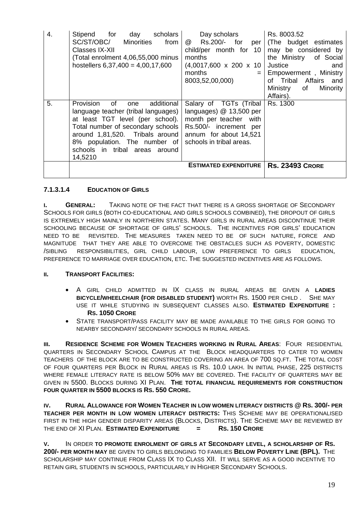| 4. | Stipend for<br>day scholars<br>SC/ST/OBC/<br>from<br><b>Minorities</b><br>Classes IX-XII<br>(Total enrolment 4,06,55,000 minus<br>hostellers $6,37,400 = 4,00,17,600$                                                                                                | Day scholars<br>@ Rs.200/- for per<br>child/per month for 10<br>months<br>$(4,0017,600 \times 200 \times 10)$<br>months<br>$=$<br>8003,52,00,000)                                           | Rs. 8003.52<br>(The budget estimates)<br>may be considered by<br>the Ministry of Social<br><b>Justice</b><br>and<br>Empowerment, Ministry<br>of Tribal Affairs and<br>Ministry<br>of<br>Minority<br>Affairs). |
|----|----------------------------------------------------------------------------------------------------------------------------------------------------------------------------------------------------------------------------------------------------------------------|---------------------------------------------------------------------------------------------------------------------------------------------------------------------------------------------|---------------------------------------------------------------------------------------------------------------------------------------------------------------------------------------------------------------|
| 5. | Provision<br>additional<br>of<br>one<br>language teacher (tribal languages)<br>at least TGT level (per school).<br>Total number of secondary schools<br>around 1,81,520. Tribals around<br>8% population. The number of<br>schools in tribal areas around<br>14,5210 | Salary of TGTs (Tribal<br>languages) @ 13,500 per<br>month per teacher with<br>Rs.500/- increment per<br>annum for about 14,521<br>schools in tribal areas.<br><b>ESTIMATED EXPENDITURE</b> | Rs. 1300<br><b>Rs. 23493 CRORE</b>                                                                                                                                                                            |

# **7.1.3.1.4 EDUCATION OF GIRLS**

**I. GENERAL:** TAKING NOTE OF THE FACT THAT THERE IS A GROSS SHORTAGE OF SECONDARY SCHOOLS FOR GIRLS (BOTH CO-EDUCATIONAL AND GIRLS SCHOOLS COMBINED), THE DROPOUT OF GIRLS IS EXTREMELY HIGH MAINLY IN NORTHERN STATES. MANY GIRLS IN RURAL AREAS DISCONTINUE THEIR SCHOOLING BECAUSE OF SHORTAGE OF GIRLS' SCHOOLS. THE INCENTIVES FOR GIRLS' EDUCATION NEED TO BE REVISITED. THE MEASURES TAKEN NEED TO BE OF SUCH NATURE, FORCE AND MAGNITUDE THAT THEY ARE ABLE TO OVERCOME THE OBSTACLES SUCH AS POVERTY, DOMESTIC /SIBLING RESPONSIBILITIES, GIRL CHILD LABOUR, LOW PREFERENCE TO GIRLS EDUCATION, PREFERENCE TO MARRIAGE OVER EDUCATION, ETC. THE SUGGESTED INCENTIVES ARE AS FOLLOWS.

#### **II. TRANSPORT FACILITIES:**

- A GIRL CHILD ADMITTED IN IX CLASS IN RURAL AREAS BE GIVEN A **LADIES BICYCLE/WHEELCHAIR (FOR DISABLED STUDENT)** WORTH RS. 1500 PER CHILD . SHE MAY USE IT WHILE STUDYING IN SUBSEQUENT CLASSES ALSO. **ESTIMATED EXPENDITURE : RS. 1050 CRORE**
- STATE TRANSPORT/PASS FACILITY MAY BE MADE AVAILABLE TO THE GIRLS FOR GOING TO NEARBY SECONDARY/ SECONDARY SCHOOLS IN RURAL AREAS.

**III. RESIDENCE SCHEME FOR WOMEN TEACHERS WORKING IN RURAL AREAS**: FOUR RESIDENTIAL QUARTERS IN SECONDARY SCHOOL CAMPUS AT THE BLOCK HEADQUARTERS TO CATER TO WOMEN TEACHERS OF THE BLOCK ARE TO BE CONSTRUCTED COVERING AN AREA OF 700 SQ.FT. THE TOTAL COST OF FOUR QUARTERS PER BLOCK IN RURAL AREAS IS RS. 10.0 LAKH. IN INITIAL PHASE, 225 DISTRICTS WHERE FEMALE LITERACY RATE IS BELOW 50% MAY BE COVERED. THE FACILITY OF QUARTERS MAY BE GIVEN IN 5500. BLOCKS DURING XI PLAN. **THE TOTAL FINANCIAL REQUIREMENTS FOR CONSTRUCTION FOUR QUARTER IN 5500 BLOCKS IS RS. 550 CRORE.** 

**IV. RURAL ALLOWANCE FOR WOMEN TEACHER IN LOW WOMEN LITERACY DISTRICTS @ RS. 300/- PER TEACHER PER MONTH IN LOW WOMEN LITERACY DISTRICTS:** THIS SCHEME MAY BE OPERATIONALISED FIRST IN THE HIGH GENDER DISPARITY AREAS (BLOCKS, DISTRICTS). THE SCHEME MAY BE REVIEWED BY THE END OF XI PLAN. **ESTIMATED EXPENDITURE = RS. 150 CRORE** 

**V.** IN ORDER **TO PROMOTE ENROLMENT OF GIRLS AT SECONDARY LEVEL, A SCHOLARSHIP OF RS. 200/- PER MONTH MAY** BE GIVEN TO GIRLS BELONGING TO FAMILIES **BELOW POVERTY LINE (BPL).** THE SCHOLARSHIP MAY CONTINUE FROM CLASS IX TO CLASS XII. IT WILL SERVE AS A GOOD INCENTIVE TO RETAIN GIRL STUDENTS IN SCHOOLS, PARTICULARLY IN HIGHER SECONDARY SCHOOLS.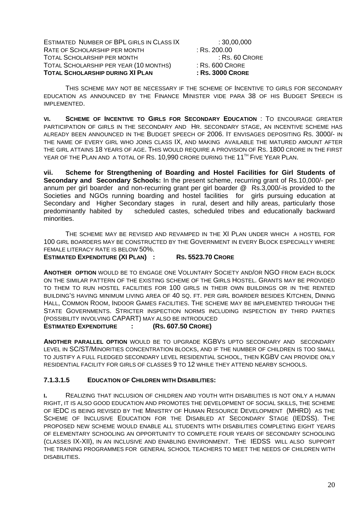ESTIMATED NUMBER OF BPL GIRLS IN CLASS IX : 30,00,000 RATE OF SCHOLARSHIP PER MONTH : RS. 200.00<br>
TOTAL SCHOLARSHIP PER MONTH : RS. 60 CRORE TOTAL SCHOLARSHIP PER MONTH TOTAL SCHOLARSHIP PER YEAR (10 MONTHS) : RS. 600 CRORE **TOTAL SCHOLARSHIP DURING XI PLAN : RS. 3000 CRORE**

THIS SCHEME MAY NOT BE NECESSARY IF THE SCHEME OF INCENTIVE TO GIRLS FOR SECONDARY EDUCATION AS ANNOUNCED BY THE FINANCE MINISTER VIDE PARA 38 OF HIS BUDGET SPEECH IS IMPLEMENTED.

**VI. SCHEME OF INCENTIVE TO GIRLS FOR SECONDARY EDUCATION** : TO ENCOURAGE GREATER PARTICIPATION OF GIRLS IN THE SECONDARY AND HR. SECONDARY STAGE, AN INCENTIVE SCHEME HAS ALREADY BEEN ANNOUNCED IN THE BUDGET SPEECH OF 2006. IT ENVISAGES DEPOSITING RS. 3000/- IN THE NAME OF EVERY GIRL WHO JOINS CLASS IX, AND MAKING AVAILABLE THE MATURED AMOUNT AFTER THE GIRL ATTAINS 18 YEARS OF AGE. THIS WOULD REQUIRE A PROVISION OF RS. 1800 CRORE IN THE FIRST YEAR OF THE PLAN AND A TOTAL OF RS. 10,990 CRORE DURING THE 11<sup>TH</sup> FIVE YEAR PLAN.

**vii. Scheme for Strengthening of Boarding and Hostel Facilities for Girl Students of Secondary and Secondary Schools:** In the present scheme, recurring grant of Rs.10,000/- per annum per girl boarder and non-recurring grant per girl boarder @ Rs.3,000/-is provided to the Societies and NGOs running boarding and hostel facilities for girls pursuing education at Secondary and Higher Secondary stages in rural, desert and hilly areas, particularly those predominantly habited by scheduled castes, scheduled tribes and educationally backward minorities.

THE SCHEME MAY BE REVISED AND REVAMPED IN THE XI PLAN UNDER WHICH A HOSTEL FOR 100 GIRL BOARDERS MAY BE CONSTRUCTED BY THE GOVERNMENT IN EVERY BLOCK ESPECIALLY WHERE FEMALE LITERACY RATE IS BELOW 50%. **ESTIMATED EXPENDITURE (XI PLAN) : RS. 5523.70 CRORE**

**ANOTHER OPTION** WOULD BE TO ENGAGE ONE VOLUNTARY SOCIETY AND/OR NGO FROM EACH BLOCK ON THE SIMILAR PATTERN OF THE EXISTING SCHEME OF THE GIRLS HOSTEL. GRANTS MAY BE PROVIDED TO THEM TO RUN HOSTEL FACILITIES FOR 100 GIRLS IN THEIR OWN BUILDINGS OR IN THE RENTED BUILDING'S HAVING MINIMUM LIVING AREA OF 40 SQ. FT. PER GIRL BOARDER BESIDES KITCHEN, DINING HALL, COMMON ROOM, INDOOR GAMES FACILITIES. THE SCHEME MAY BE IMPLEMENTED THROUGH THE STATE GOVERNMENTS. STRICTER INSPECTION NORMS INCLUDING INSPECTION BY THIRD PARTIES (POSSIBILITY INVOLVING CAPART) MAY ALSO BE INTRODUCED

**ESTIMATED EXPENDITURE : (RS. 607.50 CRORE)**

**ANOTHER PARALLEL OPTION** WOULD BE TO UPGRADE KGBVS UPTO SECONDARY AND SECONDARY LEVEL IN SC/ST/MINORITIES CONCENTRATION BLOCKS, AND IF THE NUMBER OF CHILDREN IS TOO SMALL TO JUSTIFY A FULL FLEDGED SECONDARY LEVEL RESIDENTIAL SCHOOL, THEN KGBV CAN PROVIDE ONLY RESIDENTIAL FACILITY FOR GIRLS OF CLASSES 9 TO 12 WHILE THEY ATTEND NEARBY SCHOOLS.

# **7.1.3.1.5 EDUCATION OF CHILDREN WITH DISABILITIES:**

**I.** REALIZING THAT INCLUSION OF CHILDREN AND YOUTH WITH DISABILITIES IS NOT ONLY A HUMAN RIGHT, IT IS ALSO GOOD EDUCATION AND PROMOTES THE DEVELOPMENT OF SOCIAL SKILLS, THE SCHEME OF IEDC IS BEING REVISED BY THE MINISTRY OF HUMAN RESOURCE DEVELOPMENT (MHRD) AS THE SCHEME OF INCLUSIVE EDUCATION FOR THE DISABLED AT SECONDARY STAGE (IEDSS). THE PROPOSED NEW SCHEME WOULD ENABLE ALL STUDENTS WITH DISABILITIES COMPLETING EIGHT YEARS OF ELEMENTARY SCHOOLING AN OPPORTUNITY TO COMPLETE FOUR YEARS OF SECONDARY SCHOOLING (CLASSES IX-XII), IN AN INCLUSIVE AND ENABLING ENVIRONMENT. THE IEDSS WILL ALSO SUPPORT THE TRAINING PROGRAMMES FOR GENERAL SCHOOL TEACHERS TO MEET THE NEEDS OF CHILDREN WITH DISABILITIES.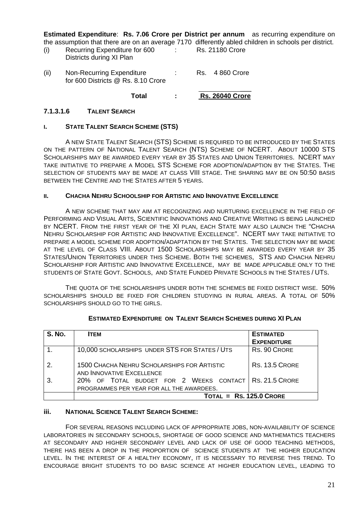**Estimated Expenditure**: **Rs. 7.06 Crore per District per annum** as recurring expenditure on the assumption that there are on an average 7170 differently abled children in schools per district.

| (i) | Recurring Expenditure for 600 | <b>Rs. 21180 Crore</b> |
|-----|-------------------------------|------------------------|
|     | Districts during XI Plan      |                        |

(ii) Non-Recurring Expenditure : Rs. 4 860 Crore for 600 Districts @ Rs. 8.10 Crore \_\_\_

 **Total : Rs. 26040 Crore**

#### **7.1.3.1.6 TALENT SEARCH**

#### **I. STATE TALENT SEARCH SCHEME (STS)**

A NEW STATE TALENT SEARCH (STS) SCHEME IS REQUIRED TO BE INTRODUCED BY THE STATES ON THE PATTERN OF NATIONAL TALENT SEARCH (NTS) SCHEME OF NCERT. ABOUT 10000 STS SCHOLARSHIPS MAY BE AWARDED EVERY YEAR BY 35 STATES AND UNION TERRITORIES. NCERT MAY TAKE INITIATIVE TO PREPARE A MODEL STS SCHEME FOR ADOPTION/ADAPTION BY THE STATES. THE SELECTION OF STUDENTS MAY BE MADE AT CLASS VIII STAGE. THE SHARING MAY BE ON 50:50 BASIS BETWEEN THE CENTRE AND THE STATES AFTER 5 YEARS.

#### **II. CHACHA NEHRU SCHOOLSHIP FOR ARTISTIC AND INNOVATIVE EXCELLENCE**

A NEW SCHEME THAT MAY AIM AT RECOGNIZING AND NURTURING EXCELLENCE IN THE FIELD OF PERFORMING AND VISUAL ARTS, SCIENTIFIC INNOVATIONS AND CREATIVE WRITING IS BEING LAUNCHED BY NCERT. FROM THE FIRST YEAR OF THE XI PLAN, EACH STATE MAY ALSO LAUNCH THE "CHACHA NEHRU SCHOLARSHIP FOR ARTISTIC AND INNOVATIVE EXCELLENCE". NCERT MAY TAKE INITIATIVE TO PREPARE A MODEL SCHEME FOR ADOPTION/ADAPTATION BY THE STATES. THE SELECTION MAY BE MADE AT THE LEVEL OF CLASS VIII. ABOUT 1500 SCHOLARSHIPS MAY BE AWARDED EVERY YEAR BY 35 STATES/UNION TERRITORIES UNDER THIS SCHEME. BOTH THE SCHEMES, STS AND CHACHA NEHRU SCHOLARSHIP FOR ARTISTIC AND INNOVATIVE EXCELLENCE, MAY BE MADE APPLICABLE ONLY TO THE STUDENTS OF STATE GOVT. SCHOOLS, AND STATE FUNDED PRIVATE SCHOOLS IN THE STATES / UTS.

THE QUOTA OF THE SCHOLARSHIPS UNDER BOTH THE SCHEMES BE FIXED DISTRICT WISE. 50% SCHOLARSHIPS SHOULD BE FIXED FOR CHILDREN STUDYING IN RURAL AREAS. A TOTAL OF 50% SCHOLARSHIPS SHOULD GO TO THE GIRLS.

| <b>S. No.</b>  | <b>ITEM</b>                                                                                         | <b>ESTIMATED</b>      |
|----------------|-----------------------------------------------------------------------------------------------------|-----------------------|
|                |                                                                                                     | <b>EXPENDITURE</b>    |
|                | 10,000 SCHOLARSHIPS UNDER STS FOR STATES / UTS                                                      | RS. 90 CRORE          |
| $\overline{2}$ | <b>1500 CHACHA NEHRU SCHOLARSHIPS FOR ARTISTIC</b><br>AND INNOVATIVE EXCELLENCE                     | <b>RS. 13.5 CRORE</b> |
|                | 20% OF TOTAL BUDGET FOR 2 WEEKS CONTACT RS. 21.5 CRORE<br>PROGRAMMES PER YEAR FOR ALL THE AWARDEES. |                       |
|                | $TOTAL = RS. 125.0 CRORE$                                                                           |                       |

#### **ESTIMATED EXPENDITURE ON TALENT SEARCH SCHEMES DURING XI PLAN**

#### **iii. NATIONAL SCIENCE TALENT SEARCH SCHEME:**

FOR SEVERAL REASONS INCLUDING LACK OF APPROPRIATE JOBS, NON-AVAILABILITY OF SCIENCE LABORATORIES IN SECONDARY SCHOOLS, SHORTAGE OF GOOD SCIENCE AND MATHEMATICS TEACHERS AT SECONDARY AND HIGHER SECONDARY LEVEL AND LACK OF USE OF GOOD TEACHING METHODS, THERE HAS BEEN A DROP IN THE PROPORTION OF SCIENCE STUDENTS AT THE HIGHER EDUCATION LEVEL. IN THE INTEREST OF A HEALTHY ECONOMY, IT IS NECESSARY TO REVERSE THIS TREND. TO ENCOURAGE BRIGHT STUDENTS TO DO BASIC SCIENCE AT HIGHER EDUCATION LEVEL, LEADING TO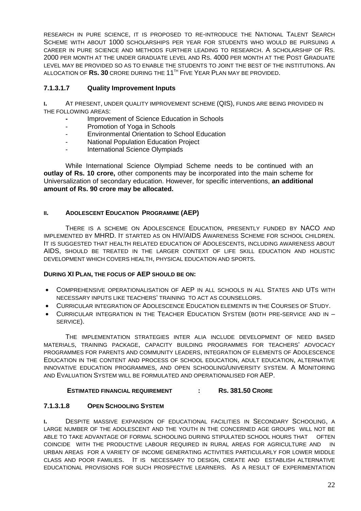RESEARCH IN PURE SCIENCE, IT IS PROPOSED TO RE-INTRODUCE THE NATIONAL TALENT SEARCH SCHEME WITH ABOUT 1000 SCHOLARSHIPS PER YEAR FOR STUDENTS WHO WOULD BE PURSUING A CAREER IN PURE SCIENCE AND METHODS FURTHER LEADING TO RESEARCH. A SCHOLARSHIP OF RS. 2000 PER MONTH AT THE UNDER GRADUATE LEVEL AND RS. 4000 PER MONTH AT THE POST GRADUATE LEVEL MAY BE PROVIDED SO AS TO ENABLE THE STUDENTS TO JOINT THE BEST OF THE INSTITUTIONS. AN ALLOCATION OF **RS. 30** CRORE DURING THE 11TH FIVE YEAR PLAN MAY BE PROVIDED.

# **7.1.3.1.7 Quality Improvement Inputs**

**I.** AT PRESENT, UNDER QUALITY IMPROVEMENT SCHEME (QIS), FUNDS ARE BEING PROVIDED IN THE FOLLOWING AREAS:

- Improvement of Science Education in Schools
- Promotion of Yoga in Schools
- Environmental Orientation to School Education
- National Population Education Project
- International Science Olympiads

While International Science Olympiad Scheme needs to be continued with an **outlay of Rs. 10 crore,** other components may be incorporated into the main scheme for Universalization of secondary education. However, for specific interventions, **an additional amount of Rs. 90 crore may be allocated.** 

# **II. ADOLESCENT EDUCATION PROGRAMME (AEP)**

THERE IS A SCHEME ON ADOLESCENCE EDUCATION, PRESENTLY FUNDED BY NACO AND IMPLEMENTED BY MHRD. IT STARTED AS ON HIV/AIDS AWARENESS SCHEME FOR SCHOOL CHILDREN. IT IS SUGGESTED THAT HEALTH RELATED EDUCATION OF ADOLESCENTS, INCLUDING AWARENESS ABOUT AIDS, SHOULD BE TREATED IN THE LARGER CONTEXT OF LIFE SKILL EDUCATION AND HOLISTIC DEVELOPMENT WHICH COVERS HEALTH, PHYSICAL EDUCATION AND SPORTS.

#### **DURING XI PLAN, THE FOCUS OF AEP SHOULD BE ON:**

- COMPREHENSIVE OPERATIONALISATION OF AEP IN ALL SCHOOLS IN ALL STATES AND UTS WITH NECESSARY INPUTS LIKE TEACHERS' TRAINING TO ACT AS COUNSELLORS.
- CURRICULAR INTEGRATION OF ADOLESCENCE EDUCATION ELEMENTS IN THE COURSES OF STUDY.
- CURRICULAR INTEGRATION IN THE TEACHER EDUCATION SYSTEM (BOTH PRE-SERVICE AND IN SERVICE).

THE IMPLEMENTATION STRATEGIES INTER ALIA INCLUDE DEVELOPMENT OF NEED BASED MATERIALS, TRAINING PACKAGE, CAPACITY BUILDING PROGRAMMES FOR TEACHERS' ADVOCACY PROGRAMMES FOR PARENTS AND COMMUNITY LEADERS, INTEGRATION OF ELEMENTS OF ADOLESCENCE EDUCATION IN THE CONTENT AND PROCESS OF SCHOOL EDUCATION, ADULT EDUCATION, ALTERNATIVE INNOVATIVE EDUCATION PROGRAMMES, AND OPEN SCHOOLING/UNIVERSITY SYSTEM. A MONITORING AND EVALUATION SYSTEM WILL BE FORMULATED AND OPERATIONALISED FOR AEP.

#### **ESTIMATED FINANCIAL REQUIREMENT : RS. 381.50 CRORE**

# **7.1.3.1.8 OPEN SCHOOLING SYSTEM**

**I.** DESPITE MASSIVE EXPANSION OF EDUCATIONAL FACILITIES IN SECONDARY SCHOOLING, A LARGE NUMBER OF THE ADOLESCENT AND THE YOUTH IN THE CONCERNED AGE GROUPS WILL NOT BE ABLE TO TAKE ADVANTAGE OF FORMAL SCHOOLING DURING STIPULATED SCHOOL HOURS THAT OFTEN COINCIDE WITH THE PRODUCTIVE LABOUR REQUIRED IN RURAL AREAS FOR AGRICULTURE AND IN URBAN AREAS FOR A VARIETY OF INCOME GENERATING ACTIVITIES PARTICULARLY FOR LOWER MIDDLE CLASS AND POOR FAMILIES. IT IS NECESSARY TO DESIGN, CREATE AND ESTABLISH ALTERNATIVE EDUCATIONAL PROVISIONS FOR SUCH PROSPECTIVE LEARNERS. AS A RESULT OF EXPERIMENTATION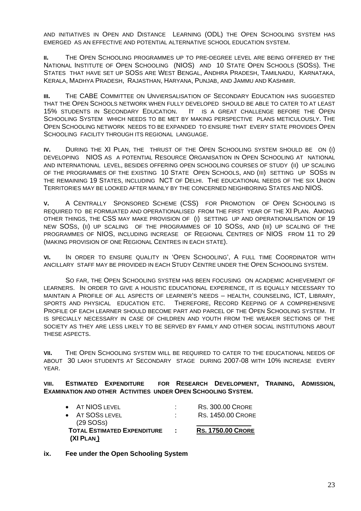AND INITIATIVES IN OPEN AND DISTANCE LEARNING (ODL) THE OPEN SCHOOLING SYSTEM HAS EMERGED AS AN EFFECTIVE AND POTENTIAL ALTERNATIVE SCHOOL EDUCATION SYSTEM.

**II.** THE OPEN SCHOOLING PROGRAMMES UP TO PRE-DEGREE LEVEL ARE BEING OFFERED BY THE NATIONAL INSTITUTE OF OPEN SCHOOLING (NIOS) AND 10 STATE OPEN SCHOOLS (SOSS). THE STATES THAT HAVE SET UP SOSS ARE WEST BENGAL, ANDHRA PRADESH, TAMILNADU, KARNATAKA, KERALA, MADHYA PRADESH, RAJASTHAN, HARYANA, PUNJAB, AND JAMMU AND KASHMIR.

**III.** THE CABE COMMITTEE ON UNVIERSALISATION OF SECONDARY EDUCATION HAS SUGGESTED THAT THE OPEN SCHOOLS NETWORK WHEN FULLY DEVELOPED SHOULD BE ABLE TO CATER TO AT LEAST 15% STUDENTS IN SECONDARY EDUCATION. IT IS A GREAT CHALLENGE BEFORE THE OPEN SCHOOLING SYSTEM WHICH NEEDS TO BE MET BY MAKING PERSPECTIVE PLANS METICULOUSLY. THE OPEN SCHOOLING NETWORK NEEDS TO BE EXPANDED TO ENSURE THAT EVERY STATE PROVIDES OPEN SCHOOLING FACILITY THROUGH ITS REGIONAL LANGUAGE.

**IV.** DURING THE XI PLAN, THE THRUST OF THE OPEN SCHOOLING SYSTEM SHOULD BE ON (I) DEVELOPING NIOS AS A POTENTIAL RESOURCE ORGANISATION IN OPEN SCHOOLING AT NATIONAL AND INTERNATIONAL LEVEL, BESIDES OFFERING OPEN SCHOOLING COURSES OF STUDY (II) UP SCALING OF THE PROGRAMMES OF THE EXISTING 10 STATE OPEN SCHOOLS, AND (III) SETTING UP SOSS IN THE REMAINING 19 STATES, INCLUDING NCT OF DELHI. THE EDUCATIONAL NEEDS OF THE SIX UNION TERRITORIES MAY BE LOOKED AFTER MAINLY BY THE CONCERNED NEIGHBORING STATES AND NIOS.

**V.** A CENTRALLY SPONSORED SCHEME (CSS) FOR PROMOTION OF OPEN SCHOOLING IS REQUIRED TO BE FORMUATED AND OPERATIONALISED FROM THE FIRST YEAR OF THE XI PLAN. AMONG OTHER THINGS, THE CSS MAY MAKE PROVISION OF (I) SETTING UP AND OPERATIONALISATION OF 19 NEW SOSS, (II) UP SCALING OF THE PROGRAMMES OF 10 SOSS, AND (III) UP SCALING OF THE PROGRAMMES OF NIOS, INCLUDING INCREASE OF REGIONAL CENTRES OF NIOS FROM 11 TO 29 (MAKING PROVISION OF ONE REGIONAL CENTRES IN EACH STATE).

**VI.** IN ORDER TO ENSURE QUALITY IN 'OPEN SCHOOLING', A FULL TIME COORDINATOR WITH ANCILLARY STAFF MAY BE PROVIDED IN EACH STUDY CENTRE UNDER THE OPEN SCHOOLING SYSTEM.

SO FAR, THE OPEN SCHOOLING SYSTEM HAS BEEN FOCUSING ON ACADEMIC ACHIEVEMENT OF LEARNERS. IN ORDER TO GIVE A HOLISTIC EDUCATIONAL EXPERIENCE, IT IS EQUALLY NECESSARY TO MAINTAIN A PROFILE OF ALL ASPECTS OF LEARNER'S NEEDS – HEALTH, COUNSELING, ICT, LIBRARY, SPORTS AND PHYSICAL EDUCATION ETC. THEREFORE, RECORD KEEPING OF A COMPREHENSIVE PROFILE OF EACH LEARNER SHOULD BECOME PART AND PARCEL OF THE OPEN SCHOOLING SYSTEM. IT IS SPECIALLY NECESSARY IN CASE OF CHILDREN AND YOUTH FROM THE WEAKER SECTIONS OF THE SOCIETY AS THEY ARE LESS LIKELY TO BE SERVED BY FAMILY AND OTHER SOCIAL INSTITUTIONS ABOUT THESE ASPECTS.

**VII.** THE OPEN SCHOOLING SYSTEM WILL BE REQUIRED TO CATER TO THE EDUCATIONAL NEEDS OF ABOUT 30 LAKH STUDENTS AT SECONDARY STAGE DURING 2007-08 WITH 10% INCREASE EVERY YEAR.

**VIII. ESTIMATED EXPENDITURE FOR RESEARCH DEVELOPMENT, TRAINING, ADMISSION, EXAMINATION AND OTHER ACTIVITIES UNDER OPEN SCHOOLING SYSTEM.**

| (XI PLAN)                          |                   |                          |
|------------------------------------|-------------------|--------------------------|
| <b>TOTAL ESTIMATED EXPENDITURE</b> | $\sim$ 100 $\sim$ | <b>RS. 1750.00 CRORE</b> |
| $(29$ SOSS)                        |                   |                          |
| $\bullet$ AT SOSS LEVEL            |                   | <b>RS. 1450.00 CRORE</b> |
| • AT NIOS LEVEL                    |                   | <b>RS. 300.00 CRORE</b>  |

#### **ix. Fee under the Open Schooling System**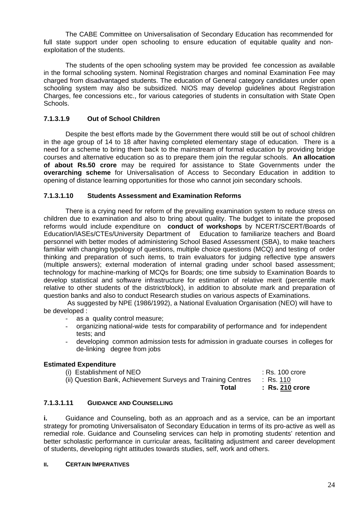The CABE Committee on Universalisation of Secondary Education has recommended for full state support under open schooling to ensure education of equitable quality and nonexploitation of the students.

The students of the open schooling system may be provided fee concession as available in the formal schooling system. Nominal Registration charges and nominal Examination Fee may charged from disadvantaged students. The education of General category candidates under open schooling system may also be subsidized. NIOS may develop guidelines about Registration Charges, fee concessions etc., for various categories of students in consultation with State Open Schools.

# **7.1.3.1.9 Out of School Children**

Despite the best efforts made by the Government there would still be out of school children in the age group of 14 to 18 after having completed elementary stage of education. There is a need for a scheme to bring them back to the mainstream of formal education by providing bridge courses and alternative education so as to prepare them join the regular schools. **An allocation of about Rs.50 crore** may be required for assistance to State Governments under the **overarching scheme** for Universalisation of Access to Secondary Education in addition to opening of distance learning opportunities for those who cannot join secondary schools.

#### **7.1.3.1.10 Students Assessment and Examination Reforms**

There is a crying need for reform of the prevailing examination system to reduce stress on children due to examination and also to bring about quality. The budget to initate the proposed reforms would include expenditure on **conduct of workshops** by NCERT/SCERT/Boards of Education/IASEs/CTEs/University Department of Education to familiarize teachers and Board personnel with better modes of administering School Based Assessment (SBA), to make teachers familiar with changing typology of questions, multiple choice questions (MCQ) and testing of order thinking and preparation of such items, to train evaluators for judging reflective type answers (multiple answers); external moderation of internal grading under school based assessment; technology for machine-marking of MCQs for Boards; one time subsidy to Examination Boards to develop statistical and software infrastructure for estimation of relative merit (percentile mark relative to other students of the district/block), in addition to absolute mark and preparation of question banks and also to conduct Research studies on various aspects of Examinations.

As suggested by NPE (1986/1992), a National Evaluation Organisation (NEO) will have to be developed :

- as a quality control measure;
- organizing national-wide tests for comparability of performance and for independent tests; and
- developing common admission tests for admission in graduate courses in colleges for de-linking degree from jobs

#### **Estimated Expenditure**

| (i) Establishment of NEO                                     | $:$ Rs. 100 crore |
|--------------------------------------------------------------|-------------------|
| (ii) Question Bank, Achievement Surveys and Training Centres | : Rs. 110         |
| Total                                                        | $:$ Rs. 210 crore |

## **7.1.3.1.11 GUIDANCE AND COUNSELLING**

**i.** Guidance and Counseling, both as an approach and as a service, can be an important strategy for promoting Universalisaton of Secondary Education in terms of its pro-active as well as remedial role. Guidance and Counseling services can help in promoting students' retention and better scholastic performance in curricular areas, facilitating adjustment and career development of students, developing right attitudes towards studies, self, work and others.

#### **II. CERTAIN IMPERATIVES**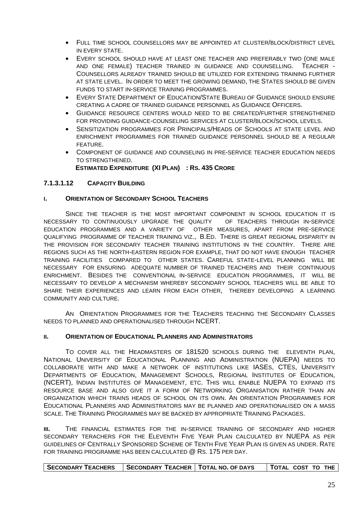- FULL TIME SCHOOL COUNSELLORS MAY BE APPOINTED AT CLUSTER/BLOCK/DISTRICT LEVEL IN EVERY STATE.
- EVERY SCHOOL SHOULD HAVE AT LEAST ONE TEACHER AND PREFERABLY TWO (ONE MALE AND ONE FEMALE) TEACHER TRAINED IN GUIDANCE AND COUNSELLING. TEACHER - COUNSELLORS ALREADY TRAINED SHOULD BE UTILIZED FOR EXTENDING TRAINING FURTHER AT STATE LEVEL. IN ORDER TO MEET THE GROWING DEMAND, THE STATES SHOULD BE GIVEN FUNDS TO START IN-SERVICE TRAINING PROGRAMMES.
- EVERY STATE DEPARTMENT OF EDUCATION/STATE BUREAU OF GUIDANCE SHOULD ENSURE CREATING A CADRE OF TRAINED GUIDANCE PERSONNEL AS GUIDANCE OFFICERS.
- GUIDANCE RESOURCE CENTERS WOULD NEED TO BE CREATED/FURTHER STRENGTHENED FOR PROVIDING GUIDANCE-COUNSELING SERVICES AT CLUSTER/BLOCK/SCHOOL LEVELS.
- SENSITIZATION PROGRAMMES FOR PRINCIPALS/HEADS OF SCHOOLS AT STATE LEVEL AND ENRICHMENT PROGRAMMES FOR TRAINED GUIDANCE PERSONNEL SHOULD BE A REGULAR FEATURE.
- COMPONENT OF GUIDANCE AND COUNSELING IN PRE-SERVICE TEACHER EDUCATION NEEDS TO STRENGTHENED.

**ESTIMATED EXPENDITURE (XI PLAN) : RS. 435 CRORE**

#### **7.1.3.1.12 CAPACITY BUILDING**

#### **I. ORIENTATION OF SECONDARY SCHOOL TEACHERS**

SINCE THE TEACHER IS THE MOST IMPORTANT COMPONENT IN SCHOOL EDUCATION IT IS NECESSARY TO CONTINUOUSLY UPGRADE THE QUALITY OF TEACHERS THROUGH IN-SERVICE EDUCATION PROGRAMMES AND A VARIETY OF OTHER MEASURES, APART FROM PRE-SERVICE QUALIFYING PROGRAMME OF TEACHER TRAINING VIZ., B.ED. THERE IS GREAT REGIONAL DISPARITY IN THE PROVISION FOR SECONDARY TEACHER TRAINING INSTITUTIONS IN THE COUNTRY. THERE ARE REGIONS SUCH AS THE NORTH-EASTERN REGION FOR EXAMPLE, THAT DO NOT HAVE ENOUGH TEACHER TRAINING FACILITIES COMPARED TO OTHER STATES. CAREFUL STATE-LEVEL PLANNING WILL BE NECESSARY FOR ENSURING ADEQUATE NUMBER OF TRAINED TEACHERS AND THEIR CONTINUOUS ENRICHMENT. BESIDES THE CONVENTIONAL IN-SERVICE EDUCATION PROGRAMMES, IT WILL BE NECESSARY TO DEVELOP A MECHANISM WHEREBY SECONDARY SCHOOL TEACHERS WILL BE ABLE TO SHARE THEIR EXPERIENCES AND LEARN FROM EACH OTHER, THEREBY DEVELOPING A LEARNING COMMUNITY AND CULTURE.

AN ORIENTATION PROGRAMMES FOR THE TEACHERS TEACHING THE SECONDARY CLASSES NEEDS TO PLANNED AND OPERATIONALISED THROUGH NCERT.

#### **II. ORIENTATION OF EDUCATIONAL PLANNERS AND ADMINISTRATORS**

TO COVER ALL THE HEADMASTERS OF 181520 SCHOOLS DURING THE ELEVENTH PLAN, NATIONAL UNIVERSITY OF EDUCATIONAL PLANNING AND ADMINISTRATION (NUEPA) NEEDS TO COLLABORATE WITH AND MAKE A NETWORK OF INSTITUTIONS LIKE IASES, CTES, UNIVERSITY DEPARTMENTS OF EDUCATION, MANAGEMENT SCHOOLS, REGIONAL INSTITUTES OF EDUCATION, (NCERT), INDIAN INSTITUTES OF MANAGEMENT, ETC. THIS WILL ENABLE NUEPA TO EXPAND ITS RESOURCE BASE AND ALSO GIVE IT A FORM OF NETWORKING ORGANISATION RATHER THAN AN ORGANIZATION WHICH TRAINS HEADS OF SCHOOL ON ITS OWN. AN ORIENTATION PROGRAMMES FOR EDUCATIONAL PLANNERS AND ADMINISTRATORS MAY BE PLANNED AND OPERATIONALISED ON A MASS SCALE. THE TRAINING PROGRAMMES MAY BE BACKED BY APPROPRIATE TRAINING PACKAGES.

**III.** THE FINANCIAL ESTIMATES FOR THE IN-SERVICE TRAINING OF SECONDARY AND HIGHER SECONDARY TERACHERS FOR THE ELEVENTH FIVE YEAR PLAN CALCULATED BY NUEPA AS PER GUIDELINES OF CENTRALLY SPONSORED SCHEME OF TENTH FIVE YEAR PLAN IS GIVEN AS UNDER. RATE FOR TRAINING PROGRAMME HAS BEEN CALCULATED @ RS. 175 PER DAY.

|--|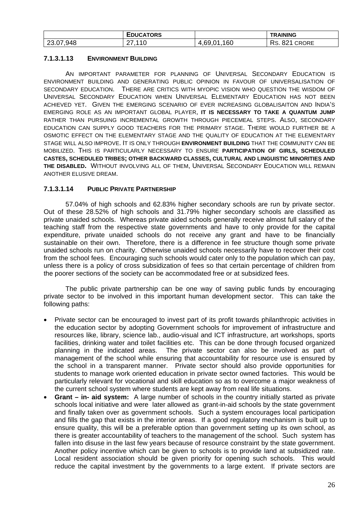|           | EDUCATORS         |                                | <b>TRAINING</b>                  |
|-----------|-------------------|--------------------------------|----------------------------------|
| 23.07,948 | . <i>.</i> 0<br>. | .160<br>$+0.69,01$<br>$\Delta$ | Rs.<br>റച<br><b>CRORE</b><br>8Z. |

# **7.1.3.1.13 ENVIRONMENT BUILDING**

AN IMPORTANT PARAMETER FOR PLANNING OF UNIVERSAL SECONDARY EDUCATION IS ENVIRONMENT BUILDING AND GENERATING PUBLIC OPINION IN FAVOUR OF UNIVERSALISATION OF SECONDARY EDUCATION. THERE ARE CRITICS WITH MYOPIC VISION WHO QUESTION THE WISDOM OF UNIVERSAL SECONDARY EDUCATION WHEN UNIVERSAL ELEMENTARY EDUCATION HAS NOT BEEN ACHIEVED YET. GIVEN THE EMERGING SCENARIO OF EVER INCREASING GLOBALISAITON AND INDIA'S EMERGING ROLE AS AN IMPORTANT GLOBAL PLAYER, **IT IS NECESSARY TO TAKE A QUANTUM JUMP** RATHER THAN PURSUING INCREMENTAL GROWTH THROUGH PIECEMEAL STEPS. ALSO, SECONDARY EDUCATION CAN SUPPLY GOOD TEACHERS FOR THE PRIMARY STAGE. THERE WOULD FURTHER BE A OSMOTIC EFFECT ON THE ELEMENTARY STAGE AND THE QUALITY OF EDUCATION AT THE ELEMENTARY STAGE WILL ALSO IMPROVE. IT IS ONLY THROUGH **ENVIRONMENT BUILDING** THAT THE COMMUNITY CAN BE MOBILIZED. THIS IS PARTICULARLY NECESSARY TO ENSURE **PARTICIPATION OF GIRLS, SCHEDULED CASTES, SCHEDULED TRIBES; OTHER BACKWARD CLASSES, CULTURAL AND LINGUISTIC MINORITIES AND THE DISABLED.** WITHOUT INVOLVING ALL OF THEM, UNIVERSAL SECONDARY EDUCATION WILL REMAIN ANOTHER ELUSIVE DREAM.

# **7.1.3.1.14 PUBLIC PRIVATE PARTNERSHIP**

57.04% of high schools and 62.83% higher secondary schools are run by private sector. Out of these 28.52% of high schools and 31.79% higher secondary schools are classified as private unaided schools. Whereas private aided schools generally receive almost full salary of the teaching staff from the respective state governments and have to only provide for the capital expenditure, private unaided schools do not receive any grant and have to be financially sustainable on their own. Therefore, there is a difference in fee structure though some private unaided schools run on charity. Otherwise unaided schools necessarily have to recover their cost from the school fees. Encouraging such schools would cater only to the population which can pay, unless there is a policy of cross subsidization of fees so that certain percentage of children from the poorer sections of the society can be accommodated free or at subsidized fees.

The public private partnership can be one way of saving public funds by encouraging private sector to be involved in this important human development sector. This can take the following paths:

- Private sector can be encouraged to invest part of its profit towards philanthropic activities in the education sector by adopting Government schools for improvement of infrastructure and resources like, library, science lab., audio-visual and ICT infrastructure, art workshops, sports facilities, drinking water and toilet facilities etc. This can be done through focused organized planning in the indicated areas. The private sector can also be involved as part of management of the school while ensuring that accountability for resource use is ensured by the school in a transparent manner. Private sector should also provide opportunities for students to manage work oriented education in private sector owned factories. This would be particularly relevant for vocational and skill education so as to overcome a major weakness of the current school system where students are kept away from real life situations.
- **Grant in- aid system:** A large number of schools in the country initially started as private schools local initiative and were later allowed as grant-in-aid schools by the state government and finally taken over as government schools. Such a system encourages local participation and fills the gap that exists in the interior areas. If a good regulatory mechanism is built up to ensure quality, this will be a preferable option than government setting up its own school, as there is greater accountability of teachers to the management of the school. Such system has fallen into disuse in the last few years because of resource constraint by the state government. Another policy incentive which can be given to schools is to provide land at subsidized rate. Local resident association should be given priority for opening such schools. This would reduce the capital investment by the governments to a large extent. If private sectors are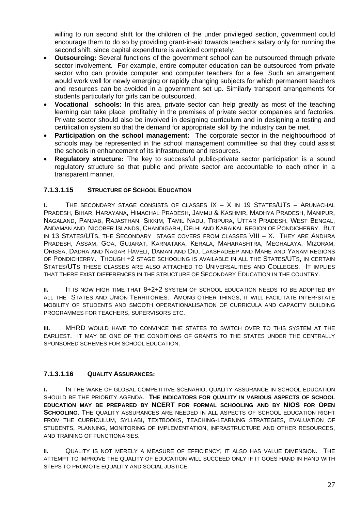willing to run second shift for the children of the under privileged section, government could encourage them to do so by providing grant-in-aid towards teachers salary only for running the second shift, since capital expenditure is avoided completely.

- **Outsourcing:** Several functions of the government school can be outsourced through private sector involvement. For example, entire computer education can be outsourced from private sector who can provide computer and computer teachers for a fee. Such an arrangement would work well for newly emerging or rapidly changing subjects for which permanent teachers and resources can be avoided in a government set up. Similarly transport arrangements for students particularly for girls can be outsourced.
- **Vocational schools:** In this area, private sector can help greatly as most of the teaching learning can take place profitably in the premises of private sector companies and factories. Private sector should also be involved in designing curriculum and in designing a testing and certification system so that the demand for appropriate skill by the industry can be met.
- **Participation on the school management:** The corporate sector in the neighbourhood of schools may be represented in the school management committee so that they could assist the schools in enhancement of its infrastructure and resources.
- **Regulatory structure:** The key to successful public-private sector participation is a sound regulatory structure so that public and private sector are accountable to each other in a transparent manner.

# **7.1.3.1.15 STRUCTURE OF SCHOOL EDUCATION**

**I.** THE SECONDARY STAGE CONSISTS OF CLASSES IX – X IN 19 STATES/UTS – ARUNACHAL PRADESH, BIHAR, HARAYANA, HIMACHAL PRADESH, JAMMU & KASHMIR, MADHYA PRADESH, MANIPUR, NAGALAND, PANJAB, RAJASTHAN, SIKKIM, TAMIL NADU, TRIPURA, UTTAR PRADESH, WEST BENGAL, ANDAMAN AND NICOBER ISLANDS, CHANDIGARH, DELHI AND KARAIKAL REGION OF PONDICHERRY. BUT IN 13 STATES/UTS, THE SECONDARY STAGE COVERS FROM CLASSES VIII – X. THEY ARE ANDHRA PRADESH, ASSAM, GOA, GUJARAT, KARNATAKA, KERALA, MAHARASHTRA, MEGHALAYA, MIZORAM, ORISSA, DADRA AND NAGAR HAVELI, DAMAN AND DIU, LAKSHADEEP AND MAHE AND YANAM REGIONS OF PONDICHERRY. THOUGH +2 STAGE SCHOOLING IS AVAILABLE IN ALL THE STATES/UTS, IN CERTAIN STATES/UTS THESE CLASSES ARE ALSO ATTACHED TO UNIVERSALITIES AND COLLEGES. IT IMPLIES THAT THERE EXIST DIFFERENCES IN THE STRUCTURE OF SECONDARY EDUCATION IN THE COUNTRY.

**II.** IT IS NOW HIGH TIME THAT 8+2+2 SYSTEM OF SCHOOL EDUCATION NEEDS TO BE ADOPTED BY ALL THE STATES AND UNION TERRITORIES. AMONG OTHER THINGS, IT WILL FACILITATE INTER-STATE MOBILITY OF STUDENTS AND SMOOTH OPERATIONALISATION OF CURRICULA AND CAPACITY BUILDING PROGRAMMES FOR TEACHERS, SUPERVISORS ETC.

**III.** MHRD WOULD HAVE TO CONVINCE THE STATES TO SWITCH OVER TO THIS SYSTEM AT THE EARLIEST. IT MAY BE ONE OF THE CONDITIONS OF GRANTS TO THE STATES UNDER THE CENTRALLY SPONSORED SCHEMES FOR SCHOOL EDUCATION.

#### **7.1.3.1.16 QUALITY ASSURANCES:**

**I.** IN THE WAKE OF GLOBAL COMPETITIVE SCENARIO, QUALITY ASSURANCE IN SCHOOL EDUCATION SHOULD BE THE PRIORITY AGENDA. **THE INDICATORS FOR QUALITY IN VARIOUS ASPECTS OF SCHOOL EDUCATION MAY BE PREPARED BY NCERT FOR FORMAL SCHOOLING AND BY NIOS FOR OPEN SCHOOLING**. THE QUALITY ASSURANCES ARE NEEDED IN ALL ASPECTS OF SCHOOL EDUCATION RIGHT FROM THE CURRICULUM, SYLLABI, TEXTBOOKS, TEACHING-LEARNING STRATEGIES, EVALUATION OF STUDENTS, PLANNING, MONITORING OF IMPLEMENTATION, INFRASTRUCTURE AND OTHER RESOURCES, AND TRAINING OF FUNCTIONARIES.

**II.** QUALITY IS NOT MERELY A MEASURE OF EFFICIENCY; IT ALSO HAS VALUE DIMENSION. THE ATTEMPT TO IMPROVE THE QUALITY OF EDUCATION WILL SUCCEED ONLY IF IT GOES HAND IN HAND WITH STEPS TO PROMOTE EQUALITY AND SOCIAL JUSTICE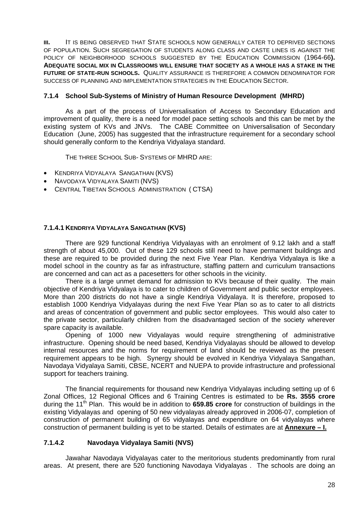**III.** IT IS BEING OBSERVED THAT STATE SCHOOLS NOW GENERALLY CATER TO DEPRIVED SECTIONS OF POPULATION. SUCH SEGREGATION OF STUDENTS ALONG CLASS AND CASTE LINES IS AGAINST THE POLICY OF NEIGHBORHOOD SCHOOLS SUGGESTED BY THE EDUCATION COMMISSION (1964-66**). ADEQUATE SOCIAL MIX IN CLASSROOMS WILL ENSURE THAT SOCIETY AS A WHOLE HAS A STAKE IN THE FUTURE OF STATE-RUN SCHOOLS.** QUALITY ASSURANCE IS THEREFORE A COMMON DENOMINATOR FOR SUCCESS OF PLANNING AND IMPLEMENTATION STRATEGIES IN THE EDUCATION SECTOR.

#### **7.1.4 School Sub-Systems of Ministry of Human Resource Development (MHRD)**

As a part of the process of Universalisation of Access to Secondary Education and improvement of quality, there is a need for model pace setting schools and this can be met by the existing system of KVs and JNVs. The CABE Committee on Universalisation of Secondary Education (June, 2005) has suggested that the infrastructure requirement for a secondary school should generally conform to the Kendriya Vidyalaya standard.

THE THREE SCHOOL SUB- SYSTEMS OF MHRD ARE:

- KENDRIYA VIDYALAYA SANGATHAN (KVS)
- NAVODAYA VIDYALAYA SAMITI (NVS)
- CENTRAL TIBETAN SCHOOLS ADMINISTRATION ( CTSA)

# **7.1.4.1 KENDRIYA VIDYALAYA SANGATHAN (KVS)**

 There are 929 functional Kendriya Vidyalayas with an enrolment of 9.12 lakh and a staff strength of about 45,000. Out of these 129 schools still need to have permanent buildings and these are required to be provided during the next Five Year Plan. Kendriya Vidyalaya is like a model school in the country as far as infrastructure, staffing pattern and curriculum transactions are concerned and can act as a pacesetters for other schools in the vicinity.

There is a large unmet demand for admission to KVs because of their quality. The main objective of Kendriya Vidyalaya is to cater to children of Government and public sector employees. More than 200 districts do not have a single Kendriya Vidyalaya. It is therefore, proposed to establish 1000 Kendriya Vidyalayas during the next Five Year Plan so as to cater to all districts and areas of concentration of government and public sector employees. This would also cater to the private sector, particularly children from the disadvantaged section of the society wherever spare capacity is available.

Opening of 1000 new Vidyalayas would require strengthening of administrative infrastructure. Opening should be need based, Kendriya Vidyalayas should be allowed to develop internal resources and the norms for requirement of land should be reviewed as the present requirement appears to be high. Synergy should be evolved in Kendriya Vidyalaya Sangathan, Navodaya Vidyalaya Samiti, CBSE, NCERT and NUEPA to provide infrastructure and professional support for teachers training.

 The financial requirements for thousand new Kendriya Vidyalayas including setting up of 6 Zonal Offices, 12 Regional Offices and 6 Training Centres is estimated to be **Rs. 3555 crore** during the 11<sup>th</sup> Plan. This would be in addition to 659.85 crore for construction of buildings in the existing Vidyalayas and opening of 50 new vidyalayas already approved in 2006-07, completion of construction of permanent building of 65 vidyalayas and expenditure on 64 vidyalayas where construction of permanent building is yet to be started. Details of estimates are at **Annexure – I.**

# **7.1.4.2 Navodaya Vidyalaya Samiti (NVS)**

 Jawahar Navodaya Vidyalayas cater to the meritorious students predominantly from rural areas. At present, there are 520 functioning Navodaya Vidyalayas . The schools are doing an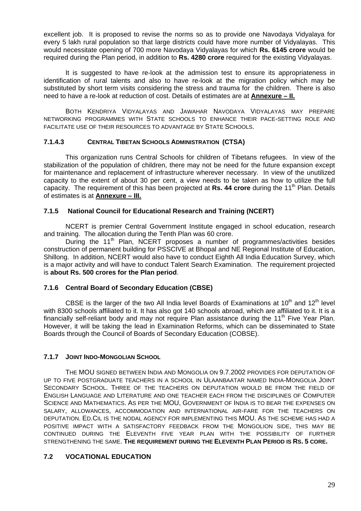excellent job. It is proposed to revise the norms so as to provide one Navodaya Vidyalaya for every 5 lakh rural population so that large districts could have more number of Vidyalayas. This would necessitate opening of 700 more Navodaya Vidyalayas for which **Rs. 6145 crore** would be required during the Plan period, in addition to **Rs. 4280 crore** required for the existing Vidyalayas.

It is suggested to have re-look at the admission test to ensure its appropriateness in identification of rural talents and also to have re-look at the migration policy which may be substituted by short term visits considering the stress and trauma for the children. There is also need to have a re-look at reduction of cost. Details of estimates are at **Annexure – II.**

BOTH KENDRIYA VIDYALAYAS AND JAWAHAR NAVODAYA VIDYALAYAS MAY PREPARE NETWORKING PROGRAMMES WITH STATE SCHOOLS TO ENHANCE THEIR PACE-SETTING ROLE AND FACILITATE USE OF THEIR RESOURCES TO ADVANTAGE BY STATE SCHOOLS.

# **7.1.4.3 CENTRAL TIBETAN SCHOOLS ADMINISTRATION (CTSA)**

 This organization runs Central Schools for children of Tibetans refugees. In view of the stabilization of the population of children, there may not be need for the future expansion except for maintenance and replacement of infrastructure wherever necessary. In view of the unutilized capacity to the extent of about 30 per cent, a view needs to be taken as how to utilize the full capacity. The requirement of this has been projected at Rs. 44 crore during the 11<sup>th</sup> Plan. Details of estimates is at **Annexure – III.**

# **7.1.5 National Council for Educational Research and Training (NCERT)**

 NCERT is premier Central Government Institute engaged in school education, research and training. The allocation during the Tenth Plan was 60 crore.

During the 11<sup>th</sup> Plan, NCERT proposes a number of programmes/activities besides construction of permanent building for PSSCIVE at Bhopal and NE Regional Institute of Education, Shillong. In addition, NCERT would also have to conduct Eighth All India Education Survey, which is a major activity and will have to conduct Talent Search Examination. The requirement projected is **about Rs. 500 crores for the Plan period**.

#### **7.1.6 Central Board of Secondary Education (CBSE)**

CBSE is the larger of the two All India level Boards of Examinations at  $10^{th}$  and  $12^{th}$  level with 8300 schools affiliated to it. It has also got 140 schools abroad, which are affiliated to it. It is a financially self-reliant body and may not require Plan assistance during the 11<sup>th</sup> Five Year Plan. However, it will be taking the lead in Examination Reforms, which can be disseminated to State Boards through the Council of Boards of Secondary Education (COBSE).

#### **7.1.7 JOINT INDO-MONGOLIAN SCHOOL**

THE MOU SIGNED BETWEEN INDIA AND MONGOLIA ON 9.7.2002 PROVIDES FOR DEPUTATION OF UP TO FIVE POSTGRADUATE TEACHERS IN A SCHOOL IN ULAANBAATAR NAMED INDIA-MONGOLIA JOINT SECONDARY SCHOOL. THREE OF THE TEACHERS ON DEPUTATION WOULD BE FROM THE FIELD OF ENGLISH LANGUAGE AND LITERATURE AND ONE TEACHER EACH FROM THE DISCIPLINES OF COMPUTER SCIENCE AND MATHEMATICS. AS PER THE MOU, GOVERNMENT OF INDIA IS TO BEAR THE EXPENSES ON SALARY, ALLOWANCES, ACCOMMODATION AND INTERNATIONAL AIR-FARE FOR THE TEACHERS ON DEPUTATION. ED.CIL IS THE NODAL AGENCY FOR IMPLEMENTING THIS MOU. AS THE SCHEME HAS HAD A POSITIVE IMPACT WITH A SATISFACTORY FEEDBACK FROM THE MONGOLION SIDE, THIS MAY BE CONTINUED DURING THE ELEVENTH FIVE YEAR PLAN WITH THE POSSIBILITY OF FURTHER STRENGTHENING THE SAME. **THE REQUIREMENT DURING THE ELEVENTH PLAN PERIOD IS RS. 5 CORE.**

# **7.2 VOCATIONAL EDUCATION**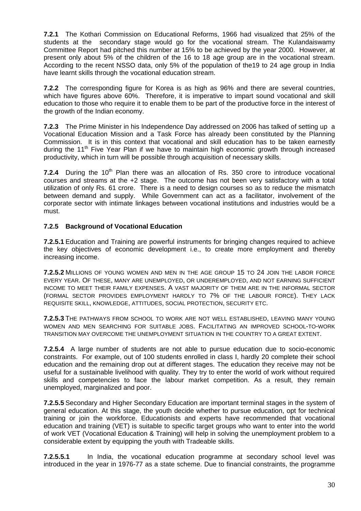**7.2.1** The Kothari Commission on Educational Reforms, 1966 had visualized that 25% of the students at the secondary stage would go for the vocational stream. The Kulandaiswamy Committee Report had pitched this number at 15% to be achieved by the year 2000. However, at present only about 5% of the children of the 16 to 18 age group are in the vocational stream. According to the recent NSSO data, only 5% of the population of the19 to 24 age group in India have learnt skills through the vocational education stream.

**7.2.2** The corresponding figure for Korea is as high as 96% and there are several countries, which have figures above 60%. Therefore, it is imperative to impart sound vocational and skill education to those who require it to enable them to be part of the productive force in the interest of the growth of the Indian economy.

**7.2.3** The Prime Minister in his Independence Day addressed on 2006 has talked of setting up a Vocational Education Mission and a Task Force has already been constituted by the Planning Commission. It is in this context that vocational and skill education has to be taken earnestly during the 11<sup>th</sup> Five Year Plan if we have to maintain high economic growth through increased productivity, which in turn will be possible through acquisition of necessary skills.

**7.2.4** During the 10<sup>th</sup> Plan there was an allocation of Rs. 350 crore to introduce vocational courses and streams at the +2 stage. The outcome has not been very satisfactory with a total utilization of only Rs. 61 crore. There is a need to design courses so as to reduce the mismatch between demand and supply. While Government can act as a facilitator, involvement of the corporate sector with intimate linkages between vocational institutions and industries would be a must.

# **7.2.5 Background of Vocational Education**

**7.2.5.1** Education and Training are powerful instruments for bringing changes required to achieve the key objectives of economic development i.e., to create more employment and thereby increasing income.

**7.2.5.2** MILLIONS OF YOUNG WOMEN AND MEN IN THE AGE GROUP 15 TO 24 JOIN THE LABOR FORCE EVERY YEAR. OF THESE, MANY ARE UNEMPLOYED, OR UNDEREMPLOYED, AND NOT EARNING SUFFICIENT INCOME TO MEET THEIR FAMILY EXPENSES. A VAST MAJORITY OF THEM ARE IN THE INFORMAL SECTOR (FORMAL SECTOR PROVIDES EMPLOYMENT HARDLY TO 7% OF THE LABOUR FORCE). THEY LACK REQUISITE SKILL, KNOWLEDGE, ATTITUDES, SOCIAL PROTECTION, SECURITY ETC.

**7.2.5.3** THE PATHWAYS FROM SCHOOL TO WORK ARE NOT WELL ESTABLISHED, LEAVING MANY YOUNG WOMEN AND MEN SEARCHING FOR SUITABLE JOBS. FACILITATING AN IMPROVED SCHOOL-TO-WORK TRANSITION MAY OVERCOME THE UNEMPLOYMENT SITUATION IN THE COUNTRY TO A GREAT EXTENT.

**7.2.5.4** A large number of students are not able to pursue education due to socio-economic constraints. For example, out of 100 students enrolled in class I, hardly 20 complete their school education and the remaining drop out at different stages. The education they receive may not be useful for a sustainable livelihood with quality. They try to enter the world of work without required skills and competencies to face the labour market competition. As a result, they remain unemployed, marginalized and poor.

**7.2.5.5** Secondary and Higher Secondary Education are important terminal stages in the system of general education. At this stage, the youth decide whether to pursue education, opt for technical training or join the workforce. Educationists and experts have recommended that vocational education and training (VET) is suitable to specific target groups who want to enter into the world of work VET (Vocational Education & Training) will help in solving the unemployment problem to a considerable extent by equipping the youth with Tradeable skills.

**7.2.5.5.1** In India, the vocational education programme at secondary school level was introduced in the year in 1976-77 as a state scheme. Due to financial constraints, the programme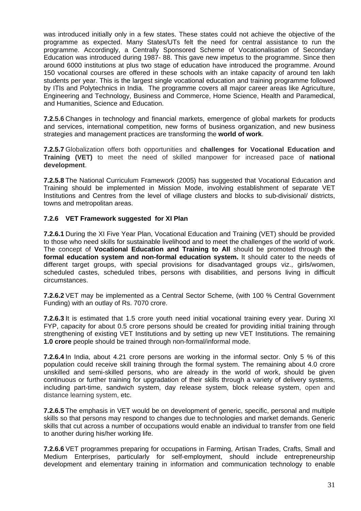was introduced initially only in a few states. These states could not achieve the objective of the programme as expected. Many States/UTs felt the need for central assistance to run the programme. Accordingly, a Centrally Sponsored Scheme of Vocationalisation of Secondary Education was introduced during 1987- 88. This gave new impetus to the programme. Since then around 6000 institutions at plus two stage of education have introduced the programme. Around 150 vocational courses are offered in these schools with an intake capacity of around ten lakh students per year. This is the largest single vocational education and training programme followed by ITIs and Polytechnics in India. The programme covers all major career areas like Agriculture, Engineering and Technology, Business and Commerce, Home Science, Health and Paramedical, and Humanities, Science and Education.

**7.2.5.6** Changes in technology and financial markets, emergence of global markets for products and services, international competition, new forms of business organization, and new business strategies and management practices are transforming the **world of work**.

**7.2.5.7** Globalization offers both opportunities and **challenges for Vocational Education and Training (VET)** to meet the need of skilled manpower for increased pace of **national development**.

**7.2.5.8** The National Curriculum Framework (2005) has suggested that Vocational Education and Training should be implemented in Mission Mode, involving establishment of separate VET Institutions and Centres from the level of village clusters and blocks to sub-divisional/ districts, towns and metropolitan areas.

#### **7.2.6 VET Framework suggested for XI Plan**

**7.2.6.1** During the XI Five Year Plan, Vocational Education and Training (VET) should be provided to those who need skills for sustainable livelihood and to meet the challenges of the world of work. The concept of **Vocational Education and Training to All** should be promoted through **the formal education system and non-formal education system.** It should cater to the needs of different target groups, with special provisions for disadvantaged groups viz., girls/women, scheduled castes, scheduled tribes, persons with disabilities, and persons living in difficult circumstances.

**7.2.6.2** VET may be implemented as a Central Sector Scheme, (with 100 % Central Government Funding) with an outlay of Rs. 7070 crore.

**7.2.6.3** It is estimated that 1.5 crore youth need initial vocational training every year. During XI FYP, capacity for about 0.5 crore persons should be created for providing initial training through strengthening of existing VET Institutions and by setting up new VET Institutions. The remaining **1.0 crore** people should be trained through non-formal/informal mode.

**7.2.6.4** In India, about 4.21 crore persons are working in the informal sector. Only 5 % of this population could receive skill training through the formal system. The remaining about 4.0 crore unskilled and semi-skilled persons, who are already in the world of work, should be given continuous or further training for upgradation of their skills through a variety of delivery systems, including part-time, sandwich system, day release system, block release system, open and distance learning system, etc.

**7.2.6.5** The emphasis in VET would be on development of generic, specific, personal and multiple skills so that persons may respond to changes due to technologies and market demands. Generic skills that cut across a number of occupations would enable an individual to transfer from one field to another during his/her working life.

**7.2.6.6** VET programmes preparing for occupations in Farming, Artisan Trades, Crafts, Small and Medium Enterprises, particularly for self-employment, should include entrepreneurship development and elementary training in information and communication technology to enable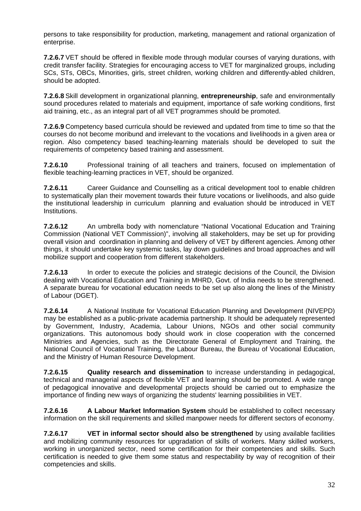persons to take responsibility for production, marketing, management and rational organization of enterprise.

**7.2.6.7** VET should be offered in flexible mode through modular courses of varying durations, with credit transfer facility. Strategies for encouraging access to VET for marginalized groups, including SCs, STs, OBCs, Minorities, girls, street children, working children and differently-abled children, should be adopted.

**7.2.6.8** Skill development in organizational planning, **entrepreneurship**, safe and environmentally sound procedures related to materials and equipment, importance of safe working conditions, first aid training, etc., as an integral part of all VET programmes should be promoted.

**7.2.6.9** Competency based curricula should be reviewed and updated from time to time so that the courses do not become moribund and irrelevant to the vocations and livelihoods in a given area or region. Also competency based teaching-learning materials should be developed to suit the requirements of competency based training and assessment.

**7.2.6.10** Professional training of all teachers and trainers, focused on implementation of flexible teaching-learning practices in VET, should be organized.

**7.2.6.11** Career Guidance and Counselling as a critical development tool to enable children to systematically plan their movement towards their future vocations or livelihoods, and also guide the institutional leadership in curriculum planning and evaluation should be introduced in VET Institutions.

**7.2.6.12** An umbrella body with nomenclature "National Vocational Education and Training Commission (National VET Commission)", involving all stakeholders, may be set up for providing overall vision and coordination in planning and delivery of VET by different agencies. Among other things, it should undertake key systemic tasks, lay down guidelines and broad approaches and will mobilize support and cooperation from different stakeholders.

**7.2.6.13** In order to execute the policies and strategic decisions of the Council, the Division dealing with Vocational Education and Training in MHRD, Govt. of India needs to be strengthened. A separate bureau for vocational education needs to be set up also along the lines of the Ministry of Labour (DGET).

**7.2.6.14** A National Institute for Vocational Education Planning and Development (NIVEPD) may be established as a public-private academia partnership. It should be adequately represented by Government, Industry, Academia, Labour Unions, NGOs and other social community organizations. This autonomous body should work in close cooperation with the concerned Ministries and Agencies, such as the Directorate General of Employment and Training, the National Council of Vocational Training, the Labour Bureau, the Bureau of Vocational Education, and the Ministry of Human Resource Development.

**7.2.6.15 Quality research and dissemination** to increase understanding in pedagogical, technical and managerial aspects of flexible VET and learning should be promoted. A wide range of pedagogical innovative and developmental projects should be carried out to emphasize the importance of finding new ways of organizing the students' learning possibilities in VET.

**7.2.6.16 A Labour Market Information System** should be established to collect necessary information on the skill requirements and skilled manpower needs for different sectors of economy.

**7.2.6.17 VET in informal sector should also be strengthened** by using available facilities and mobilizing community resources for upgradation of skills of workers. Many skilled workers, working in unorganized sector, need some certification for their competencies and skills. Such certification is needed to give them some status and respectability by way of recognition of their competencies and skills.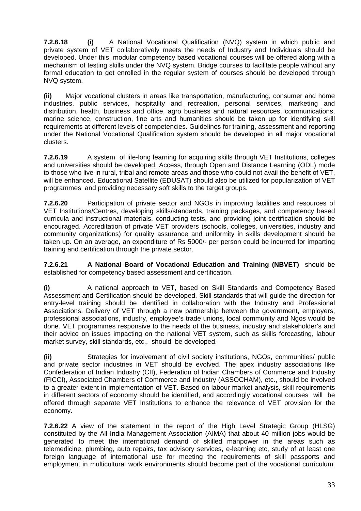**7.2.6.18 (i)** A National Vocational Qualification (NVQ) system in which public and private system of VET collaboratively meets the needs of Industry and Individuals should be developed. Under this, modular competency based vocational courses will be offered along with a mechanism of testing skills under the NVQ system. Bridge courses to facilitate people without any formal education to get enrolled in the regular system of courses should be developed through NVQ system.

**(ii)** Major vocational clusters in areas like transportation, manufacturing, consumer and home industries, public services, hospitality and recreation, personal services, marketing and distribution, health, business and office, agro business and natural resources, communications, marine science, construction, fine arts and humanities should be taken up for identifying skill requirements at different levels of competencies. Guidelines for training, assessment and reporting under the National Vocational Qualification system should be developed in all major vocational clusters.

**7.2.6.19** A system of life-long learning for acquiring skills through VET Institutions, colleges and universities should be developed. Access, through Open and Distance Learning (ODL) mode to those who live in rural, tribal and remote areas and those who could not avail the benefit of VET, will be enhanced. Educational Satellite (EDUSAT) should also be utilized for popularization of VET programmes and providing necessary soft skills to the target groups.

**7.2.6.20** Participation of private sector and NGOs in improving facilities and resources of VET Institutions/Centres, developing skills/standards, training packages, and competency based curricula and instructional materials, conducting tests, and providing joint certification should be encouraged. Accreditation of private VET providers (schools, colleges, universities, industry and community organizations) for quality assurance and uniformity in skills development should be taken up. On an average, an expenditure of Rs 5000/- per person could be incurred for imparting training and certification through the private sector.

**7.2.6.21 A National Board of Vocational Education and Training (NBVET)** should be established for competency based assessment and certification.

**(i)** A national approach to VET, based on Skill Standards and Competency Based Assessment and Certification should be developed. Skill standards that will guide the direction for entry-level training should be identified in collaboration with the Industry and Professional Associations. Delivery of VET through a new partnership between the government, employers, professional associations, industry, employee's trade unions, local community and Ngos would be done. VET programmes responsive to the needs of the business, industry and stakeholder's and their advice on issues impacting on the national VET system, such as skills forecasting, labour market survey, skill standards, etc., should be developed.

**(ii)** Strategies for involvement of civil society institutions, NGOs, communities/ public and private sector industries in VET should be evolved. The apex industry associations like Confederation of Indian Industry (CII), Federation of Indian Chambers of Commerce and Industry (FICCI), Associated Chambers of Commerce and Industry (ASSOCHAM), etc., should be involved to a greater extent in implementation of VET. Based on labour market analysis, skill requirements in different sectors of economy should be identified, and accordingly vocational courses will be offered through separate VET Institutions to enhance the relevance of VET provision for the economy.

**7.2.6.22** A view of the statement in the report of the High Level Strategic Group (HLSG) constituted by the All India Management Association (AIMA) that about 40 million jobs would be generated to meet the international demand of skilled manpower in the areas such as telemedicine, plumbing, auto repairs, tax advisory services, e-learning etc, study of at least one foreign language of international use for meeting the requirements of skill passports and employment in multicultural work environments should become part of the vocational curriculum.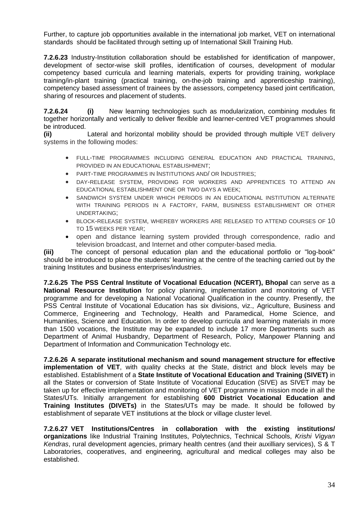Further, to capture job opportunities available in the international job market, VET on international standards should be facilitated through setting up of International Skill Training Hub.

**7.2.6.23** Industry-Institution collaboration should be established for identification of manpower, development of sector-wise skill profiles, identification of courses, development of modular competency based curricula and learning materials, experts for providing training, workplace training/in-plant training (practical training, on-the-job training and apprenticeship training), competency based assessment of trainees by the assessors, competency based joint certification, sharing of resources and placement of students.

**7.2.6.24 (i)** New learning technologies such as modularization, combining modules fit together horizontally and vertically to deliver flexible and learner-centred VET programmes should be introduced.

**(ii)** Lateral and horizontal mobility should be provided through multiple VET delivery systems in the following modes:

- FULL-TIME PROGRAMMES INCLUDING GENERAL EDUCATION AND PRACTICAL TRAINING, PROVIDED IN AN EDUCATIONAL ESTABLISHMENT;
- PART-TIME PROGRAMMES IN INSTITUTIONS AND/ OR INDUSTRIES;
- DAY-RELEASE SYSTEM, PROVIDING FOR WORKERS AND APPRENTICES TO ATTEND AN EDUCATIONAL ESTABLISHMENT ONE OR TWO DAYS A WEEK;
- SANDWICH SYSTEM UNDER WHICH PERIODS IN AN EDUCATIONAL INSTITUTION ALTERNATE WITH TRAINING PERIODS IN A FACTORY, FARM, BUSINESS ESTABLISHMENT OR OTHER UNDERTAKING;
- BLOCK-RELEASE SYSTEM, WHEREBY WORKERS ARE RELEASED TO ATTEND COURSES OF 10 TO 15 WEEKS PER YEAR;
- open and distance learning system provided through correspondence, radio and television broadcast, and Internet and other computer-based media.

**(iii)** The concept of personal education plan and the educational portfolio or "log-book" should be introduced to place the students' learning at the centre of the teaching carried out by the training Institutes and business enterprises/industries.

**7.2.6.25 The PSS Central Institute of Vocational Education (NCERT), Bhopal** can serve as a **National Resource Institution** for policy planning, implementation and monitoring of VET programme and for developing a National Vocational Qualification in the country. Presently, the PSS Central Institute of Vocational Education has six divisions, viz., Agriculture, Business and Commerce, Engineering and Technology, Health and Paramedical, Home Science, and Humanities, Science and Education. In order to develop curricula and learning materials in more than 1500 vocations, the Institute may be expanded to include 17 more Departments such as Department of Animal Husbandry, Department of Research, Policy, Manpower Planning and Department of Information and Communication Technology etc.

**7.2.6.26 A separate institutional mechanism and sound management structure for effective implementation of VET**, with quality checks at the State, district and block levels may be established. Establishment of a **State Institute of Vocational Education and Training (SIVET)** in all the States or conversion of State Institute of Vocational Education (SIVE) as SIVET may be taken up for effective implementation and monitoring of VET programme in mission mode in all the States/UTs. Initially arrangement for establishing **600 District Vocational Education and Training Institutes (DIVETs)** in the States/UTs may be made. It should be followed by establishment of separate VET institutions at the block or village cluster level.

**7.2.6.27 VET Institutions/Centres in collaboration with the existing institutions/ organizations** like Industrial Training Institutes, Polytechnics, Technical Schools, *Krishi Vigyan Kendras*, rural development agencies, primary health centres (and their auxilliary services), S & T Laboratories, cooperatives, and engineering, agricultural and medical colleges may also be established.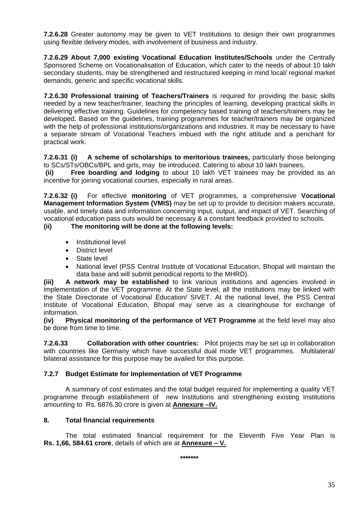**7.2.6.28** Greater autonomy may be given to VET Institutions to design their own programmes using flexible delivery modes, with involvement of business and industry.

**7.2.6.29 About 7,000 existing Vocational Education Institutes/Schools** under the Centrally Sponsored Scheme on Vocationalisation of Education, which cater to the needs of about 10 lakh secondary students, may be strengthened and restructured keeping in mind local/ regional market demands, generic and specific vocational skills.

**7.2.6.30 Professional training of Teachers/Trainers** is required for providing the basic skills needed by a new teacher/trainer, teaching the principles of learning, developing practical skills in delivering effective training. Guidelines for competency based training of teachers/trainers may be developed. Based on the guidelines, training programmes for teacher/trainers may be organized with the help of professional institutions/organizations and industries. It may be necessary to have a separate stream of Vocational Teachers imbued with the right attitude and a penchant for practical work.

**7.2.6.31 (i) A scheme of scholarships to meritorious trainees,** particularly those belonging to SCs/STs/OBCs/BPL and girls, may be introduced. Catering to about 10 lakh trainees,

**(ii) Free boarding and lodging** to about 10 lakh VET trainees may be provided as an incentive for joining vocational courses, especially in rural areas.

**7.2.6.32 (i)** For effective **monitoring** of VET programmes, a comprehensive **Vocational Management Information System (VMIS)** may be set up to provide to decision makers accurate, usable, and timely data and information concerning input, output, and impact of VET. Searching of vocational education pass outs would be necessary & a constant feedback provided to schools.

**(ii) The monitoring will be done at the following levels:**

- Institutional level
- District level
- State level
- National level (PSS Central Institute of Vocational Education, Bhopal will maintain the data base and will submit periodical reports to the MHRD).

**(iii) A network may be established** to link various institutions and agencies involved in implementation of the VET programme. At the State level, all the institutions may be linked with the State Directorate of Vocational Education/ SIVET. At the national level, the PSS Central Institute of Vocational Education, Bhopal may serve as a clearinghouse for exchange of information.

**(iv) Physical monitoring of the performance of VET Programme** at the field level may also be done from time to time.

**7.2.6.33 Collaboration with other countries:** Pilot projects may be set up in collaboration with countries like Germany which have successful dual mode VET programmes. Multilateral/ bilateral assistance for this purpose may be availed for this purpose.

# **7.2.7 Budget Estimate for Implementation of VET Programme**

 A summary of cost estimates and the total budget required for implementing a quality VET programme through establishment of new Institutions and strengthening existing Institutions amounting to Rs. 6876.30 crore is given at **Annexure –IV.**

#### **8. Total financial requirements**

The total estimated financial requirement for the Eleventh Five Year Plan is **Rs. 1,66, 584.61 crore**, details of which are at **Annexure – V.**

**\*\*\*\*\*\*\***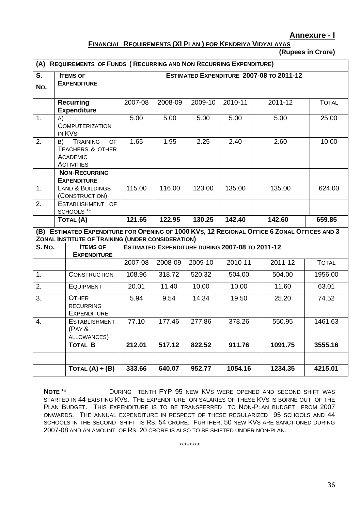## **Annexure - I**

# **FINANCIAL REQUIREMENTS (XI PLAN ) FOR KENDRIYA VIDYALAYAS**

**(Rupees in Crore)** 

| (A)           | <b>REQUIREMENTS OF FUNDS (RECURRING AND NON RECURRING EXPENDITURE)</b>                                                  |                                          |         |         |                                                 |         |              |  |
|---------------|-------------------------------------------------------------------------------------------------------------------------|------------------------------------------|---------|---------|-------------------------------------------------|---------|--------------|--|
| S.<br>No.     | <b>ITEMS OF</b><br><b>EXPENDITURE</b>                                                                                   | ESTIMATED EXPENDITURE 2007-08 TO 2011-12 |         |         |                                                 |         |              |  |
|               | <b>Recurring</b><br><b>Expenditure</b>                                                                                  | 2007-08                                  | 2008-09 | 2009-10 | 2010-11                                         | 2011-12 | <b>TOTAL</b> |  |
| 1.            | A)<br><b>COMPUTERIZATION</b><br>IN KVS                                                                                  | 5.00                                     | 5.00    | 5.00    | 5.00                                            | 5.00    | 25.00        |  |
| 2.            | B) TRAINING<br><b>OF</b><br><b>TEACHERS &amp; OTHER</b><br><b>ACADEMIC</b><br><b>ACTIVITIES</b><br><b>NON-RECURRING</b> | 1.65                                     | 1.95    | 2.25    | 2.40                                            | 2.60    | 10.00        |  |
|               | <b>EXPENDITURE</b>                                                                                                      |                                          |         |         |                                                 |         |              |  |
| 1.            | <b>LAND &amp; BUILDINGS</b><br>(CONSTRUCTION)                                                                           | 115.00                                   | 116.00  | 123.00  | 135.00                                          | 135.00  | 624.00       |  |
| 2.            | ESTABLISHMENT OF<br>SCHOOLS **                                                                                          |                                          |         |         |                                                 |         |              |  |
|               | <b>TOTAL (A)</b>                                                                                                        |                                          | 122.95  | 130.25  | 142.40                                          | 142.60  | 659.85       |  |
|               | (B) ESTIMATED EXPENDITURE FOR OPENING OF 1000 KVS, 12 REGIONAL OFFICE 6 ZONAL OFFICES AND 3                             |                                          |         |         |                                                 |         |              |  |
| <b>S. No.</b> | ZONAL INSTITUTE OF TRAINING (UNDER CONSIDERATION)<br><b>ITEMS OF</b>                                                    |                                          |         |         | ESTIMATED EXPENDITURE DURING 2007-08 TO 2011-12 |         |              |  |
|               | <b>EXPENDITURE</b>                                                                                                      | 2007-08                                  | 2008-09 | 2009-10 | 2010-11                                         | 2011-12 | <b>TOTAL</b> |  |
|               |                                                                                                                         | 108.96                                   | 318.72  |         | 504.00                                          | 504.00  | 1956.00      |  |
| 1.            | <b>CONSTRUCTION</b>                                                                                                     |                                          |         | 520.32  |                                                 |         |              |  |
| 2.            | <b>EQUIPMENT</b>                                                                                                        | 20.01                                    | 11.40   | 10.00   | 10.00                                           | 11.60   | 63.01        |  |
| 3.            | <b>OTHER</b><br><b>RECURRING</b><br><b>EXPENDITURE</b>                                                                  | 5.94                                     | 9.54    | 14.34   | 19.50                                           | 25.20   | 74.52        |  |
| 4.            | <b>ESTABLISHMENT</b><br>(PAY &<br>ALLOWANCES)                                                                           | 77.10                                    | 177.46  | 277.86  | 378.26                                          | 550.95  | 1461.63      |  |
|               | <b>TOTAL B</b>                                                                                                          | 212.01                                   | 517.12  | 822.52  | 911.76                                          | 1091.75 | 3555.16      |  |
|               |                                                                                                                         |                                          |         |         |                                                 |         |              |  |
|               | $TOTAL (A) + (B)$                                                                                                       | 333.66                                   | 640.07  | 952.77  | 1054.16                                         | 1234.35 | 4215.01      |  |

**NOTE** \*\* **DURING TENTH FYP 95 NEW KVS WERE OPENED AND SECOND SHIFT WAS** STARTED IN 44 EXISTING KVS. THE EXPENDITURE ON SALARIES OF THESE KVS IS BORNE OUT OF THE PLAN BUDGET. THIS EXPENDITURE IS TO BE TRANSFERRED TO NON-PLAN BUDGET FROM 2007 ONWARDS. THE ANNUAL EXPENDITURE IN RESPECT OF THESE REGULARIZED 95 SCHOOLS AND 44 SCHOOLS IN THE SECOND SHIFT IS RS. 54 CRORE. FURTHER, 50 NEW KVS ARE SANCTIONED DURING 2007-08 AND AN AMOUNT OF RS. 20 CRORE IS ALSO TO BE SHIFTED UNDER NON-PLAN.

\*\*\*\*\*\*\*\*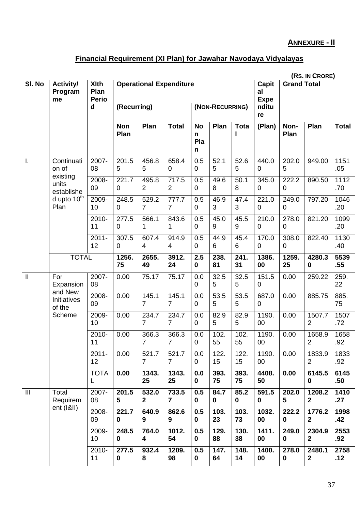# **ANNEXURE - II**

# **Financial Requirement (XI Plan) for Jawahar Navodaya Vidyalayas**

|                | (RS. IN CRORE)                   |                                     |                         |                                |                         |                            |                     |             |                      |                                   |                          |              |
|----------------|----------------------------------|-------------------------------------|-------------------------|--------------------------------|-------------------------|----------------------------|---------------------|-------------|----------------------|-----------------------------------|--------------------------|--------------|
| SI. No         | Activity/<br>Program<br>me       | <b>XIth</b><br>Plan<br><b>Perio</b> |                         | <b>Operational Expenditure</b> |                         |                            |                     |             | <b>Capit</b><br>al   | <b>Grand Total</b><br><b>Expe</b> |                          |              |
|                |                                  | $\mathbf d$                         | (Recurring)             |                                |                         | (NON-RECURRING)            |                     | nditu<br>re |                      |                                   |                          |              |
|                |                                  |                                     | <b>Non</b><br>Plan      | Plan                           | <b>Total</b>            | <b>No</b><br>n<br>Pla<br>n | Plan                | <b>Tota</b> | (Plan)               | Non-<br>Plan                      | Plan                     | <b>Total</b> |
| Τ.             | Continuati<br>on of              | 2007-<br>08                         | 201.5<br>5              | 456.8<br>5                     | 658.4<br>0              | 0.5<br>0                   | 52.1<br>5           | 52.6<br>5   | 440.0<br>0           | 202.0<br>5                        | 949.00                   | 1151<br>.05  |
|                | existing<br>units<br>establishe  | 2008-<br>09                         | 221.7<br>$\mathbf 0$    | 495.8<br>$\overline{2}$        | 717.5<br>$\overline{2}$ | 0.5<br>0                   | 49.6<br>8           | 50.1<br>8   | 345.0<br>0           | 222.2<br>$\mathbf 0$              | 890.50                   | 1112<br>.70  |
|                | d upto 10 <sup>th</sup><br>Plan  | 2009-<br>10                         | 248.5<br>0              | 529.2<br>7                     | 777.7<br>$\overline{7}$ | 0.5<br>0                   | 46.9<br>3           | 47.4<br>3   | 221.0<br>0           | 249.0<br>0                        | 797.20                   | 1046<br>.20  |
|                |                                  | 2010-<br>11                         | 277.5<br>$\overline{0}$ | 566.1<br>1                     | 843.6<br>1              | 0.5<br>0                   | 45.0<br>9           | 45.5<br>9   | 210.0<br>0           | 278.0<br>0                        | 821.20                   | 1099<br>.20  |
|                |                                  | $2011 -$<br>12                      | 307.5<br>0              | 607.4<br>$\overline{4}$        | 914.9<br>$\overline{4}$ | 0.5<br>0                   | 44.9<br>6           | 45.4<br>6   | 170.0<br>0           | 308.0<br>$\mathbf 0$              | 822.40                   | 1130<br>.40  |
|                | <b>TOTAL</b>                     |                                     | 1256.<br>75             | 2655.<br>49                    | 3912.<br>24             | 2.5<br>0                   | 238.<br>81          | 241.<br>31  | 1386.<br>00          | 1259.<br>25                       | 4280.3<br>$\bf{0}$       | 5539<br>.55  |
| $\mathbf{I}$   | For<br>Expansion                 | 2007-<br>08                         | 0.00                    | 75.17                          | 75.17                   | 0.0<br>0                   | 32.5<br>5           | 32.5<br>5   | 151.5<br>0           | 0.00                              | 259.22                   | 259.<br>22   |
|                | and New<br>Initiatives<br>of the | 2008-<br>09                         | 0.00                    | 145.1<br>$\overline{7}$        | 145.1<br>$\overline{7}$ | 0.0<br>0                   | 53.5<br>5           | 53.5<br>5   | 687.0<br>$\mathbf 0$ | 0.00                              | 885.75                   | 885.<br>75   |
|                | Scheme                           | 2009-<br>10                         | 0.00                    | 234.7<br>7                     | 234.7<br>$\overline{7}$ | 0.0<br>0                   | 82.9<br>5           | 82.9<br>5   | 1190.<br>00          | 0.00                              | 1507.7<br>2              | 1507<br>.72  |
|                |                                  | 2010-<br>11                         | 0.00                    | 366.3<br>7                     | 366.3<br>$\overline{7}$ | 0.0<br>0                   | 102.<br>55          | 102.<br>55  | 1190.<br>00          | 0.00                              | 1658.9<br>$\overline{2}$ | 1658<br>.92  |
|                |                                  | $2011 -$<br>12                      | 0.00                    | 521.7<br>$\overline{7}$        | 521.7<br>$\overline{7}$ | 0.0<br>0                   | 122.<br>15          | 122.<br>15  | 1190.<br>00          | 0.00                              | 1833.9<br>2              | 1833<br>.92  |
|                |                                  | <b>TOTA</b><br>L                    | 0.00                    | 1343.<br>25                    | 1343.<br>25             | 0.0<br>0                   | 393.<br>75          | 393.<br>75  | 4408.<br>50          | 0.00                              | 6145.5<br>$\bf{0}$       | 6145<br>.50  |
| $\mathbf{III}$ | Total<br>Requirem                | 2007-<br>08                         | 201.5<br>5              | 532.0<br>$\mathbf{2}$          | 733.5<br>$\overline{7}$ | 0.5<br>0                   | 84.7<br>$\mathbf 0$ | 85.2<br>0   | 591.5<br>0           | 202.0<br>5                        | 1208.2<br>$\mathbf{2}$   | 1410<br>.27  |
|                | ent (I&II)                       | 2008-<br>09                         | 221.7<br>$\mathbf 0$    | 640.9<br>9                     | 862.6<br>9              | 0.5<br>0                   | 103.<br>23          | 103.<br>73  | 1032.<br>00          | 222.2<br>$\mathbf 0$              | 1776.2<br>$\overline{2}$ | 1998<br>.42  |
|                |                                  | 2009-<br>10                         | 248.5<br>$\mathbf 0$    | 764.0<br>4                     | 1012.<br>54             | 0.5<br>0                   | 129.<br>88          | 130.<br>38  | 1411.<br>00          | 249.0<br>$\mathbf 0$              | 2304.9<br>$\overline{2}$ | 2553<br>.92  |
|                |                                  | 2010-<br>11                         | 277.5<br>0              | 932.4<br>8                     | 1209.<br>98             | 0.5<br>0                   | 147.<br>64          | 148.<br>14  | 1400.<br>00          | 278.0<br>0                        | 2480.1<br>$\mathbf{2}$   | 2758<br>.12  |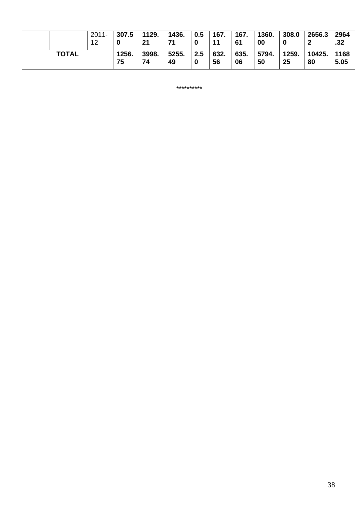|              | $2011 -$<br>12 | 307.5       | 1129.<br>21 | 1436.<br>71 | 0.5 | 167.<br>11 | 167.<br>61 | 1360.<br>00 | 308.0       | 2656.3       | 2964<br>.32  |
|--------------|----------------|-------------|-------------|-------------|-----|------------|------------|-------------|-------------|--------------|--------------|
| <b>TOTAL</b> |                | 1256.<br>75 | 3998.<br>74 | 5255.<br>49 | 2.5 | 632.<br>56 | 635.<br>06 | 5794.<br>50 | 1259.<br>25 | 10425.<br>80 | 1168<br>5.05 |

\*\*\*\*\*\*\*\*\*\*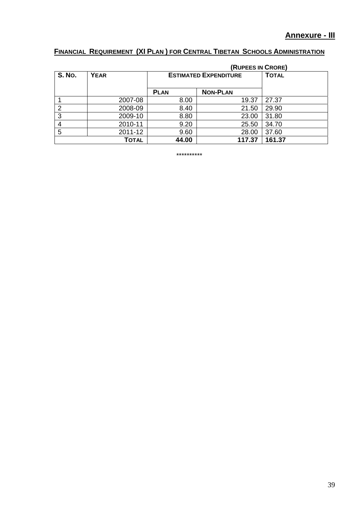# **FINANCIAL REQUIREMENT (XI PLAN ) FOR CENTRAL TIBETAN SCHOOLS ADMINISTRATION**

|               |              |                              | (RUPEES IN CRORE) |        |
|---------------|--------------|------------------------------|-------------------|--------|
| <b>S. No.</b> | <b>YEAR</b>  | <b>ESTIMATED EXPENDITURE</b> | <b>TOTAL</b>      |        |
|               |              |                              |                   |        |
|               |              | <b>PLAN</b>                  | <b>NON-PLAN</b>   |        |
|               | 2007-08      | 8.00                         | 19.37             | 27.37  |
| 2             | 2008-09      | 8.40                         | 21.50             | 29.90  |
| 3             | 2009-10      | 8.80                         | 23.00             | 31.80  |
| 4             | 2010-11      | 9.20                         | 25.50             | 34.70  |
| 5             | 2011-12      | 9.60                         | 28.00             | 37.60  |
|               | <b>TOTAL</b> | 44.00                        | 117.37            | 161.37 |

\*\*\*\*\*\*\*\*\*\*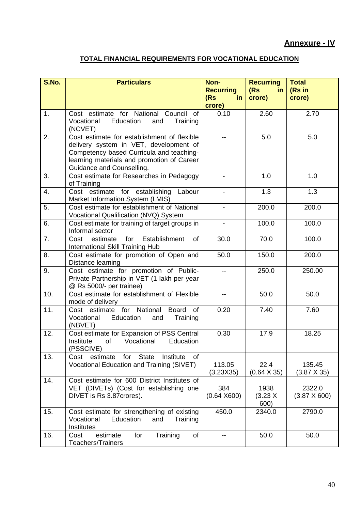# **TOTAL FINANCIAL REQUIREMENTS FOR VOCATIONAL EDUCATION**

| S.No. | <b>Particulars</b>                                                                                                                                                                                           | Non-<br><b>Recurring</b><br>(Rs)<br>-in<br>crore) | <b>Recurring</b><br>(Rs)<br>in.<br>crore) | <b>Total</b><br>(Rs in<br>crore) |
|-------|--------------------------------------------------------------------------------------------------------------------------------------------------------------------------------------------------------------|---------------------------------------------------|-------------------------------------------|----------------------------------|
| 1.    | Cost estimate for National Council<br>of<br>Education<br>Vocational<br>Training<br>and<br>(NCVET)                                                                                                            | 0.10                                              | 2.60                                      | 2.70                             |
| 2.    | Cost estimate for establishment of flexible<br>delivery system in VET, development of<br>Competency based Curricula and teaching-<br>learning materials and promotion of Career<br>Guidance and Counselling. | $-$                                               | 5.0                                       | 5.0                              |
| 3.    | Cost estimate for Researches in Pedagogy<br>of Training                                                                                                                                                      |                                                   | 1.0                                       | 1.0                              |
| 4.    | Cost estimate for establishing<br>Labour<br>Market Information System (LMIS)                                                                                                                                 |                                                   | 1.3                                       | 1.3                              |
| 5.    | Cost estimate for establishment of National<br>Vocational Qualification (NVQ) System                                                                                                                         |                                                   | 200.0                                     | 200.0                            |
| 6.    | Cost estimate for training of target groups in<br>Informal sector                                                                                                                                            | $\overline{\phantom{a}}$                          | 100.0                                     | 100.0                            |
| 7.    | Establishment<br>for<br>Cost<br>estimate<br>0f<br><b>International Skill Training Hub</b>                                                                                                                    | 30.0                                              | 70.0                                      | 100.0                            |
| 8.    | Cost estimate for promotion of Open and<br>Distance learning                                                                                                                                                 | 50.0                                              | 150.0                                     | 200.0                            |
| 9.    | Cost estimate for promotion of Public-<br>Private Partnership in VET (1 lakh per year<br>@ Rs 5000/- per trainee)                                                                                            | $-$                                               | 250.0                                     | 250.00                           |
| 10.   | Cost estimate for establishment of Flexible<br>mode of delivery                                                                                                                                              |                                                   | 50.0                                      | 50.0                             |
| 11.   | for National<br>Cost estimate<br><b>Board</b><br>of<br>Vocational<br>Education<br>Training<br>and<br>(NBVET)                                                                                                 | 0.20                                              | 7.40                                      | 7.60                             |
| 12.   | Cost estimate for Expansion of PSS Central<br>Institute<br>of<br>Vocational<br>Education<br>(PSSCIVE)                                                                                                        | 0.30                                              | 17.9                                      | 18.25                            |
| 13.   | <b>State</b><br>Institute<br>Cost<br>estimate<br>for<br>οf<br>Vocational Education and Training (SIVET)                                                                                                      | 113.05<br>(3.23X35)                               | 22.4<br>$(0.64 \times 35)$                | 135.45<br>$(3.87 \times 35)$     |
| 14.   | Cost estimate for 600 District Institutes of<br>VET (DIVETs) (Cost for establishing one<br>DIVET is Rs 3.87 crores).                                                                                         | 384<br>(0.64 X600)                                | 1938<br>(3.23 X)<br>600)                  | 2322.0<br>$(3.87 \times 600)$    |
| 15.   | Cost estimate for strengthening of existing<br>Vocational<br>Education<br>and<br>Training<br>Institutes                                                                                                      | 450.0                                             | 2340.0                                    | 2790.0                           |
| 16.   | for<br>Training<br>estimate<br>of<br>Cost<br>Teachers/Trainers                                                                                                                                               | --                                                | 50.0                                      | 50.0                             |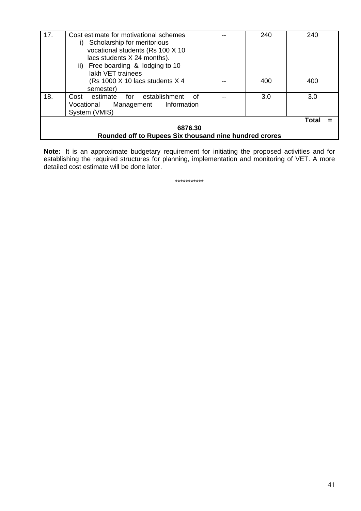| 17. | Cost estimate for motivational schemes<br>Scholarship for meritorious<br>i)<br>vocational students (Rs 100 X 10<br>lacs students X 24 months).<br>ii) Free boarding & lodging to 10<br>lakh VET trainees |  | 240 | 240          |  |  |  |  |
|-----|----------------------------------------------------------------------------------------------------------------------------------------------------------------------------------------------------------|--|-----|--------------|--|--|--|--|
|     | (Rs 1000 X 10 lacs students X 4<br>semester)                                                                                                                                                             |  | 400 | 400          |  |  |  |  |
| 18. | establishment<br>estimate<br>for<br>of<br>Cost<br>Management Information<br>Vocational<br>System (VMIS)                                                                                                  |  | 3.0 | 3.0          |  |  |  |  |
|     |                                                                                                                                                                                                          |  |     | <b>Total</b> |  |  |  |  |
|     | 6876.30                                                                                                                                                                                                  |  |     |              |  |  |  |  |
|     | Rounded off to Rupees Six thousand nine hundred crores                                                                                                                                                   |  |     |              |  |  |  |  |

**Note:** It is an approximate budgetary requirement for initiating the proposed activities and for establishing the required structures for planning, implementation and monitoring of VET. A more detailed cost estimate will be done later.

\*\*\*\*\*\*\*\*\*\*\*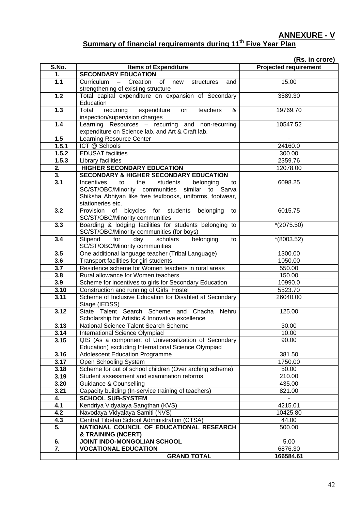**ANNEXURE - V**

# Summary of financial requirements during 11<sup>th</sup> Five Year Plan

|                  |                                                                                                                                                                 | (Rs. in crore)               |
|------------------|-----------------------------------------------------------------------------------------------------------------------------------------------------------------|------------------------------|
| S.No.            | <b>Items of Expenditure</b>                                                                                                                                     | <b>Projected requirement</b> |
| 1.               | <b>SECONDARY EDUCATION</b>                                                                                                                                      |                              |
| $1.1$            | Curriculum - Creation of new<br>structures<br>and<br>strengthening of existing structure                                                                        | 15.00                        |
| 1.2              | Total capital expenditure on expansion of Secondary<br>Education                                                                                                | 3589.30                      |
| 1.3              | Total<br>recurring expenditure on<br>teachers<br>&<br>inspection/supervision charges                                                                            | 19769.70                     |
| 1.4              | Learning Resources - recurring and non-recurring<br>expenditure on Science lab. and Art & Craft lab.                                                            | 10547.52                     |
| 1.5              | <b>Learning Resource Center</b>                                                                                                                                 |                              |
| 1.5.1            | ICT @ Schools                                                                                                                                                   | 24160.0                      |
| 1.5.2            | <b>EDUSAT</b> facilities                                                                                                                                        | 300.00                       |
| 1.5.3            | Library facilities                                                                                                                                              | 2359.76                      |
| 2.               | HIGHER SECONDARY EDUCATION                                                                                                                                      | 12078.00                     |
| 3.               | <b>SECONDARY &amp; HIGHER SECONDARY EDUCATION</b>                                                                                                               |                              |
| $\overline{3.1}$ | Incentives to the<br>students<br>belonging<br>to<br>SC/ST/OBC/Minority communities similar to Sarva<br>Shiksha Abhiyan like free textbooks, uniforms, footwear, | 6098.25                      |
|                  | stationeries etc.                                                                                                                                               |                              |
| 3.2              | Provision of bicycles for students belonging<br>to<br>SC/ST/OBC/Minority communities                                                                            | 6015.75                      |
| 3.3              | Boarding & lodging facilities for students belonging to<br>SC/ST/OBC/Minority communities (for boys)                                                            | $*(2075.50)$                 |
| 3.4              | Stipend for<br>scholars<br>day<br>belonging<br>to<br>SC/ST/OBC/Minority communities                                                                             | $*(8003.52)$                 |
| 3.5              | One additional language teacher (Tribal Language)                                                                                                               | 1300.00                      |
| 3.6              | Transport facilities for girl students                                                                                                                          | 1050.00                      |
| 3.7              | Residence scheme for Women teachers in rural areas                                                                                                              | 550.00                       |
| 3.8              | Rural allowance for Women teachers                                                                                                                              | 150.00                       |
| 3.9              | Scheme for incentives to girls for Secondary Education                                                                                                          | 10990.0                      |
| 3.10             | Construction and running of Girls' Hostel                                                                                                                       | 5523.70                      |
| 3.11             | Scheme of Inclusive Education for Disabled at Secondary<br>Stage (IEDSS)                                                                                        | 26040.00                     |
| 3.12             | State Talent Search Scheme and Chacha Nehru<br>Scholarship for Artistic & Innovative excellence                                                                 | 125.00                       |
| 3.13             | National Science Talent Search Scheme                                                                                                                           | 30.00                        |
| 3.14             | International Science Olympiad                                                                                                                                  | 10.00                        |
| 3.15             | QIS (As a component of Universalization of Secondary<br>Education) excluding International Science Olympiad                                                     | 90.00                        |
| 3.16             | <b>Adolescent Education Programme</b>                                                                                                                           | 381.50                       |
| 3.17             | Open Schooling System                                                                                                                                           | 1750.00                      |
| 3.18             | Scheme for out of school children (Over arching scheme)                                                                                                         | 50.00                        |
| 3.19             | Student assessment and examination reforms                                                                                                                      | 210.00                       |
| 3.20             | Guidance & Counselling                                                                                                                                          | 435.00                       |
| 3.21             | Capacity building (In-service training of teachers)                                                                                                             | 821.00                       |
| 4.<br>4.1        | <b>SCHOOL SUB-SYSTEM</b>                                                                                                                                        | $\blacksquare$               |
| 4.2              | Kendriya Vidyalaya Sangthan (KVS)<br>Navodaya Vidyalaya Samiti (NVS)                                                                                            | 4215.01<br>10425.80          |
| 4.3              | Central Tibetan School Administration (CTSA)                                                                                                                    | 44.00                        |
| 5.               | NATIONAL COUNCIL OF EDUCATIONAL RESEARCH                                                                                                                        | 500.00                       |
|                  | & TRAINING (NCERT)                                                                                                                                              |                              |
| 6.               | JOINT INDO-MONGOLIAN SCHOOL                                                                                                                                     | 5.00                         |
| 7.               | <b>VOCATIONAL EDUCATION</b>                                                                                                                                     | 6876.30                      |
|                  | <b>GRAND TOTAL</b>                                                                                                                                              | 166584.61                    |